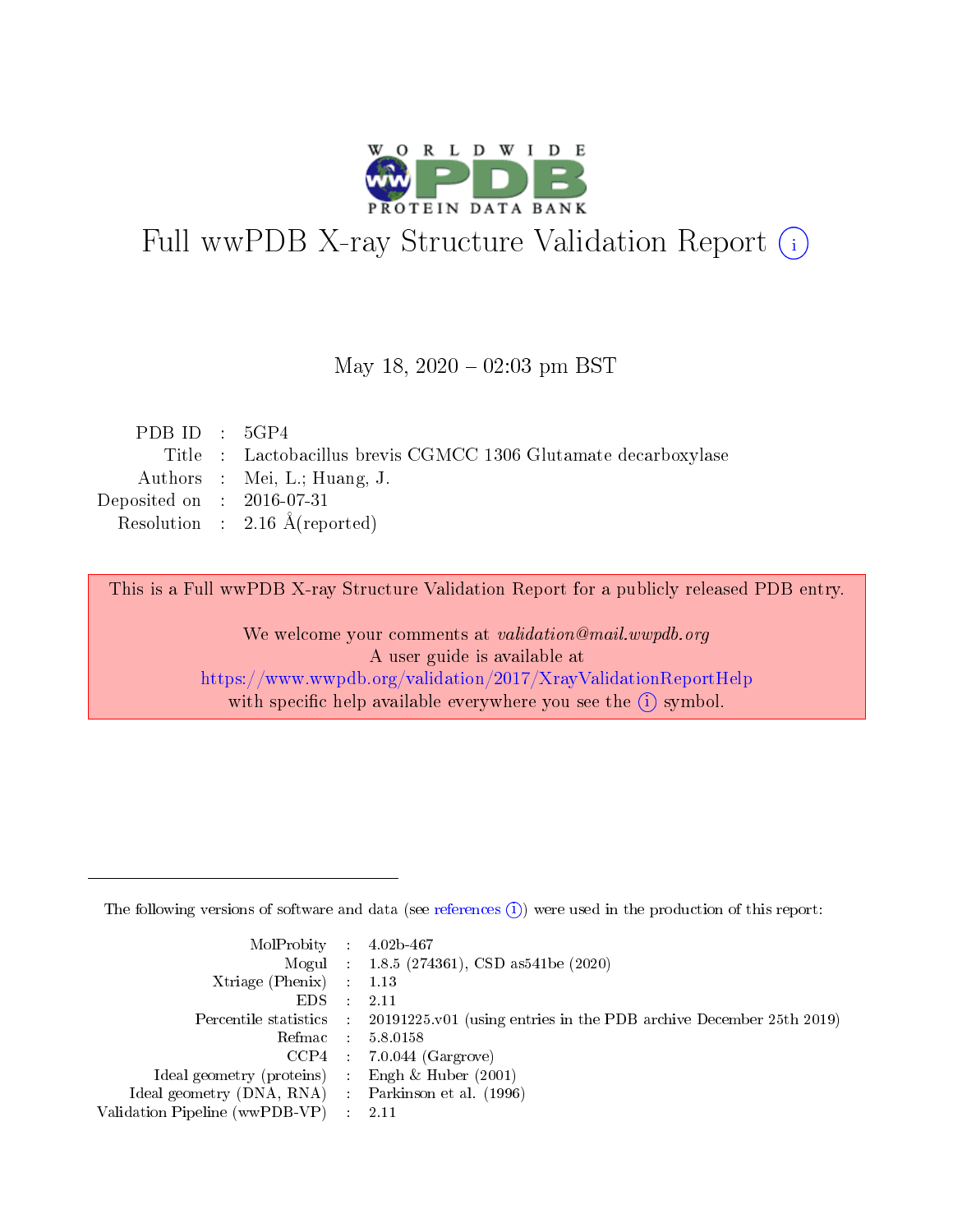

# Full wwPDB X-ray Structure Validation Report (i)

#### May 18,  $2020 - 02:03$  pm BST

| PDBID : 5GP4                                                    |
|-----------------------------------------------------------------|
| Title : Lactobacillus brevis CGMCC 1306 Glutamate decarboxylase |
| Authors : Mei, L.; Huang, J.                                    |
| Deposited on : $2016-07-31$                                     |
| Resolution : $2.16 \text{ Å}$ (reported)                        |
|                                                                 |

This is a Full wwPDB X-ray Structure Validation Report for a publicly released PDB entry.

We welcome your comments at validation@mail.wwpdb.org A user guide is available at <https://www.wwpdb.org/validation/2017/XrayValidationReportHelp> with specific help available everywhere you see the  $(i)$  symbol.

The following versions of software and data (see [references](https://www.wwpdb.org/validation/2017/XrayValidationReportHelp#references)  $(1)$ ) were used in the production of this report:

| $MolProbability$ : 4.02b-467                        |                                                                                            |
|-----------------------------------------------------|--------------------------------------------------------------------------------------------|
|                                                     | Mogul : 1.8.5 (274361), CSD as 541be (2020)                                                |
| Xtriage (Phenix) $: 1.13$                           |                                                                                            |
| EDS :                                               | -2.11                                                                                      |
|                                                     | Percentile statistics : 20191225.v01 (using entries in the PDB archive December 25th 2019) |
| Refmac 58.0158                                      |                                                                                            |
|                                                     | $CCP4$ 7.0.044 (Gargrove)                                                                  |
| Ideal geometry (proteins) : Engh $\&$ Huber (2001)  |                                                                                            |
| Ideal geometry (DNA, RNA) : Parkinson et al. (1996) |                                                                                            |
| Validation Pipeline (wwPDB-VP) : 2.11               |                                                                                            |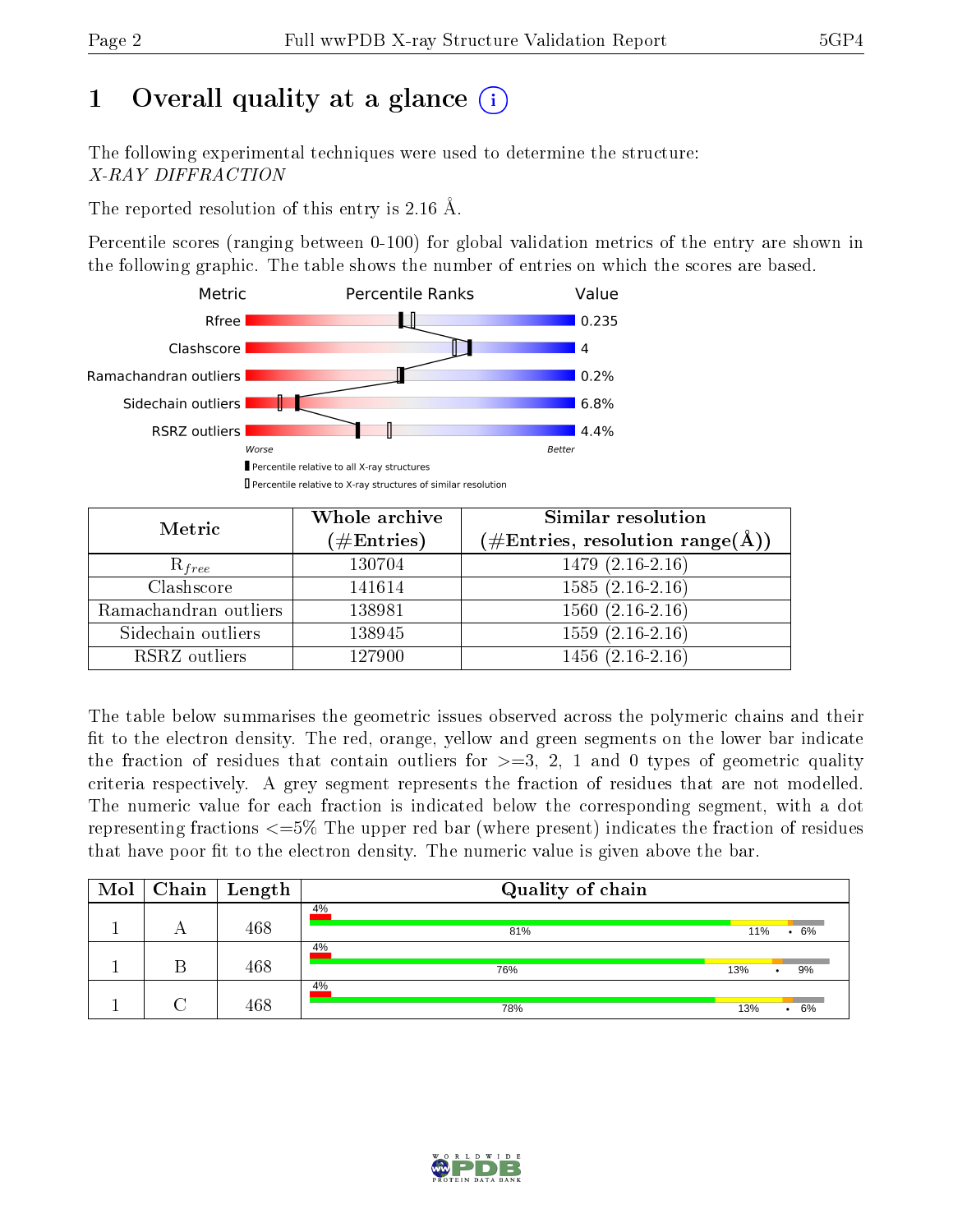# 1 [O](https://www.wwpdb.org/validation/2017/XrayValidationReportHelp#overall_quality)verall quality at a glance  $(i)$

The following experimental techniques were used to determine the structure: X-RAY DIFFRACTION

The reported resolution of this entry is 2.16 Å.

Percentile scores (ranging between 0-100) for global validation metrics of the entry are shown in the following graphic. The table shows the number of entries on which the scores are based.



| Metric                | Whole archive<br>$(\#\text{Entries})$ | Similar resolution<br>$(\#\text{Entries},\,\text{resolution}\,\,\text{range}(\textup{\AA}))$ |  |  |
|-----------------------|---------------------------------------|----------------------------------------------------------------------------------------------|--|--|
| $R_{free}$            | 130704                                | $1479(2.16-2.16)$                                                                            |  |  |
| Clashscore            | 141614                                | $1585(2.16-2.16)$                                                                            |  |  |
| Ramachandran outliers | 138981                                | $1560(2.16-2.16)$                                                                            |  |  |
| Sidechain outliers    | 138945                                | $1559(2.16-2.16)$                                                                            |  |  |
| RSRZ outliers         | 127900                                | $1456(2.16-2.16)$                                                                            |  |  |

The table below summarises the geometric issues observed across the polymeric chains and their fit to the electron density. The red, orange, yellow and green segments on the lower bar indicate the fraction of residues that contain outliers for  $>=3, 2, 1$  and 0 types of geometric quality criteria respectively. A grey segment represents the fraction of residues that are not modelled. The numeric value for each fraction is indicated below the corresponding segment, with a dot representing fractions  $\epsilon=5\%$  The upper red bar (where present) indicates the fraction of residues that have poor fit to the electron density. The numeric value is given above the bar.

| $\text{Mol}$ | $\mid$ Chain $\mid$ | Length | Quality of chain |                        |
|--------------|---------------------|--------|------------------|------------------------|
|              |                     | 468    | 4%<br>81%        | .6%<br>11%             |
|              |                     | 468    | 4%<br>76%        | 9%<br>13%<br>٠         |
|              |                     | 468    | 4%<br>78%        | 13%<br>6%<br>$\bullet$ |

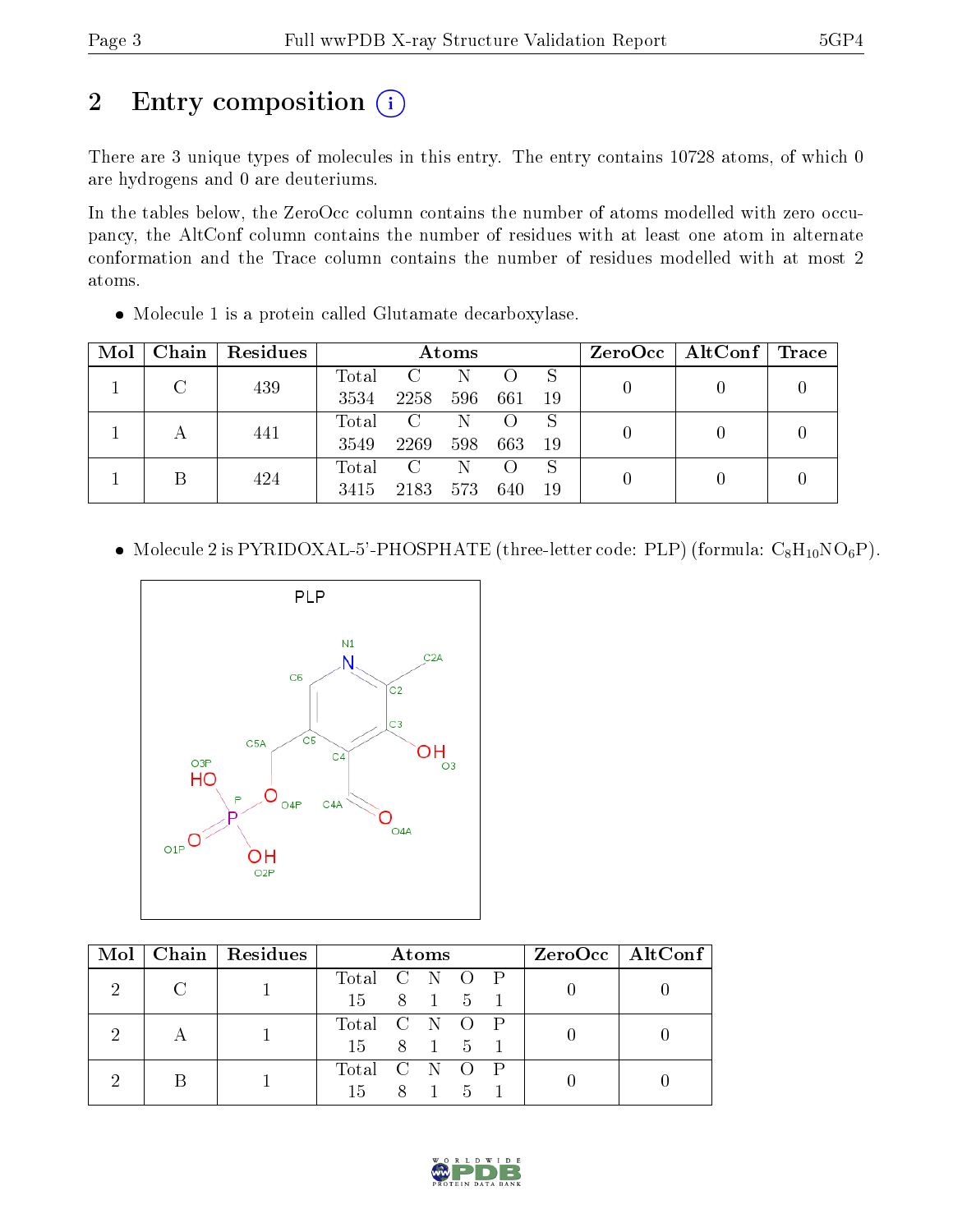# 2 Entry composition (i)

There are 3 unique types of molecules in this entry. The entry contains 10728 atoms, of which 0 are hydrogens and 0 are deuteriums.

In the tables below, the ZeroOcc column contains the number of atoms modelled with zero occupancy, the AltConf column contains the number of residues with at least one atom in alternate conformation and the Trace column contains the number of residues modelled with at most 2 atoms.

|  | • Molecule 1 is a protein called Glutamate decarboxylase. |  |
|--|-----------------------------------------------------------|--|
|  |                                                           |  |

| $\bf{Mol}$ | $\mid$ Chain $\mid$ | Residues | $\bold{Atoms}$ |               |     |     |    | $ZeroOcc \mid AltConf \mid$ | $\bf{Trace} \parallel$ |  |
|------------|---------------------|----------|----------------|---------------|-----|-----|----|-----------------------------|------------------------|--|
|            |                     | 439      | Total          | $\mathcal{C}$ | N   |     |    |                             |                        |  |
|            |                     |          | 3534           | 2258          | 596 | 661 | 19 |                             |                        |  |
|            |                     | 441      | Total          | $\mathcal{C}$ |     |     | S  |                             |                        |  |
|            |                     | 3549     | 2269           | 598           | 663 | 19  |    |                             |                        |  |
|            |                     | 424      | Total          | $\mathcal{C}$ |     |     | S  |                             |                        |  |
|            |                     | 3415     | 2183           | 573           | 640 | 19  |    |                             |                        |  |

• Molecule 2 is PYRIDOXAL-5'-PHOSPHATE (three-letter code: PLP) (formula:  $C_8H_{10}NO_6P$ ).



| Mol |        | Chain Residues | Atoms         |  |       |  | $ZeroOcc \   \ AltConf \  $ |  |
|-----|--------|----------------|---------------|--|-------|--|-----------------------------|--|
|     | $\cap$ |                | Total C N O P |  |       |  |                             |  |
|     |        |                | 15 8 1 5      |  |       |  |                             |  |
|     |        |                | Total C N O P |  |       |  |                             |  |
|     |        |                | 15 8 1 5      |  |       |  |                             |  |
|     |        |                | Total C N O P |  |       |  |                             |  |
|     |        |                | 15.           |  | 8 1 5 |  |                             |  |

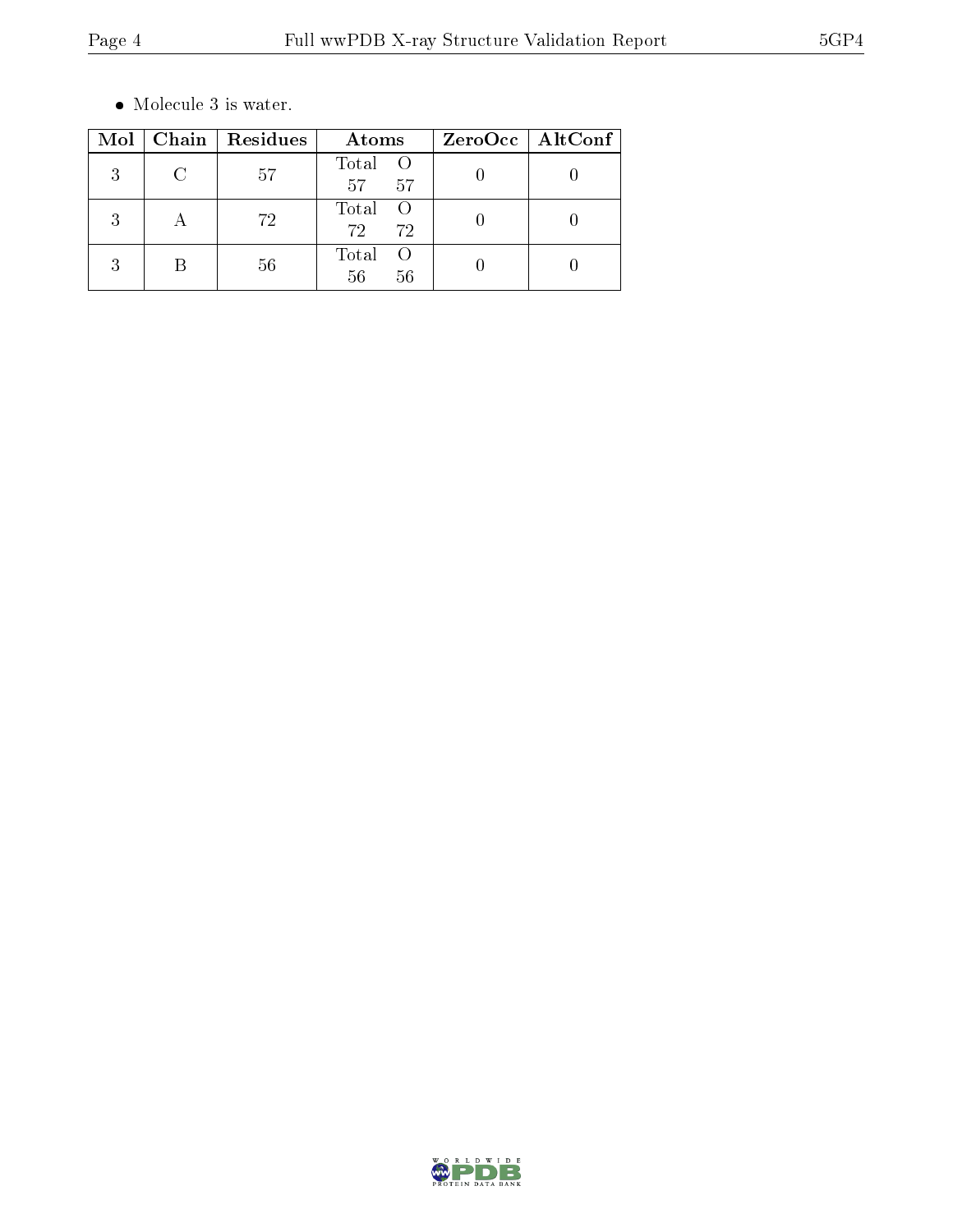$\bullet\,$  Molecule 3 is water.

| Mol            | Chain Residues | Atoms                                  | $ZeroOcc$   AltConf |  |
|----------------|----------------|----------------------------------------|---------------------|--|
| 2              | 57             | Total O<br>57 <sup>7</sup><br>57       |                     |  |
| 2              | 72             | Total<br>- ()<br>72 <sub>1</sub><br>72 |                     |  |
| 9<br>$\cdot$ : | 56             | Total<br>56<br>56                      |                     |  |

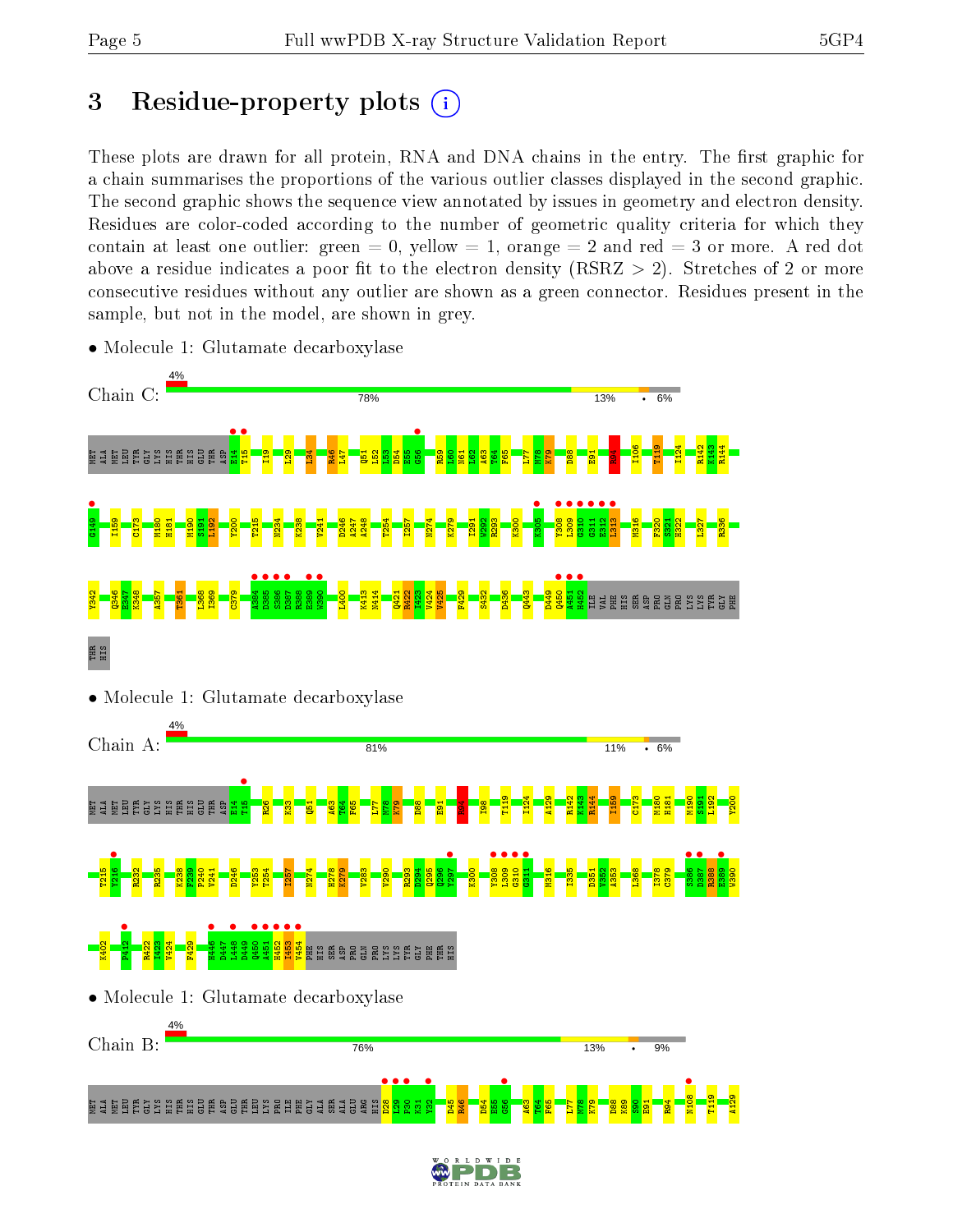# 3 Residue-property plots  $(i)$

These plots are drawn for all protein, RNA and DNA chains in the entry. The first graphic for a chain summarises the proportions of the various outlier classes displayed in the second graphic. The second graphic shows the sequence view annotated by issues in geometry and electron density. Residues are color-coded according to the number of geometric quality criteria for which they contain at least one outlier: green  $= 0$ , yellow  $= 1$ , orange  $= 2$  and red  $= 3$  or more. A red dot above a residue indicates a poor fit to the electron density (RSRZ  $> 2$ ). Stretches of 2 or more consecutive residues without any outlier are shown as a green connector. Residues present in the sample, but not in the model, are shown in grey.



• Molecule 1: Glutamate decarboxylase

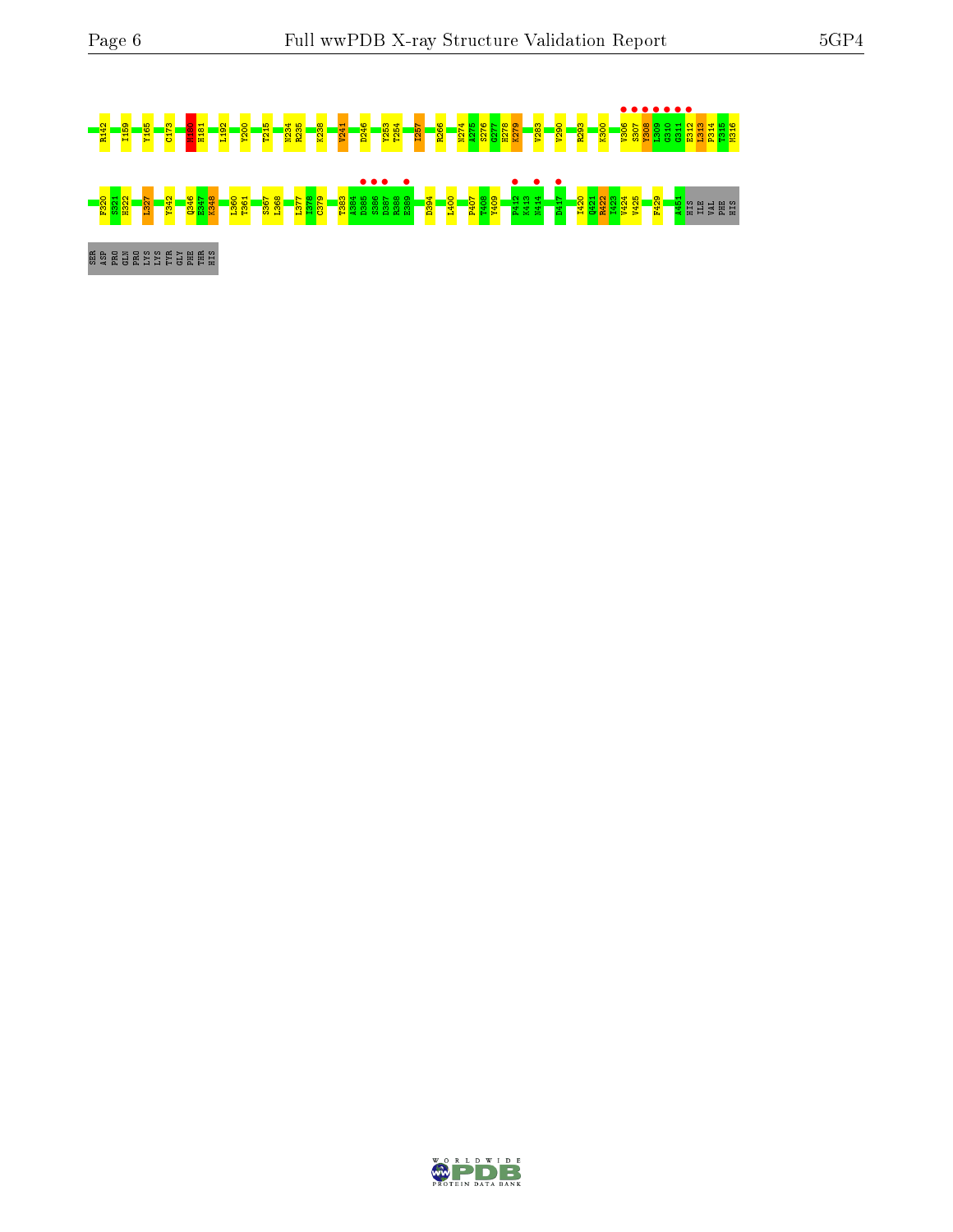# <mark>8 H2-8 2 I15</mark>9 Y1<mark>8-8 H25 A276 K238 M275 K238 K238 H27</mark> **s a senior de la senior de la senior de la senior de la senior de la senior de la senior de la senior de la se<br>1988 – Senior de la senior de la senior de la senior de la senior de la senior de la senior de la senior de la** e<br>Ser Brans Engel

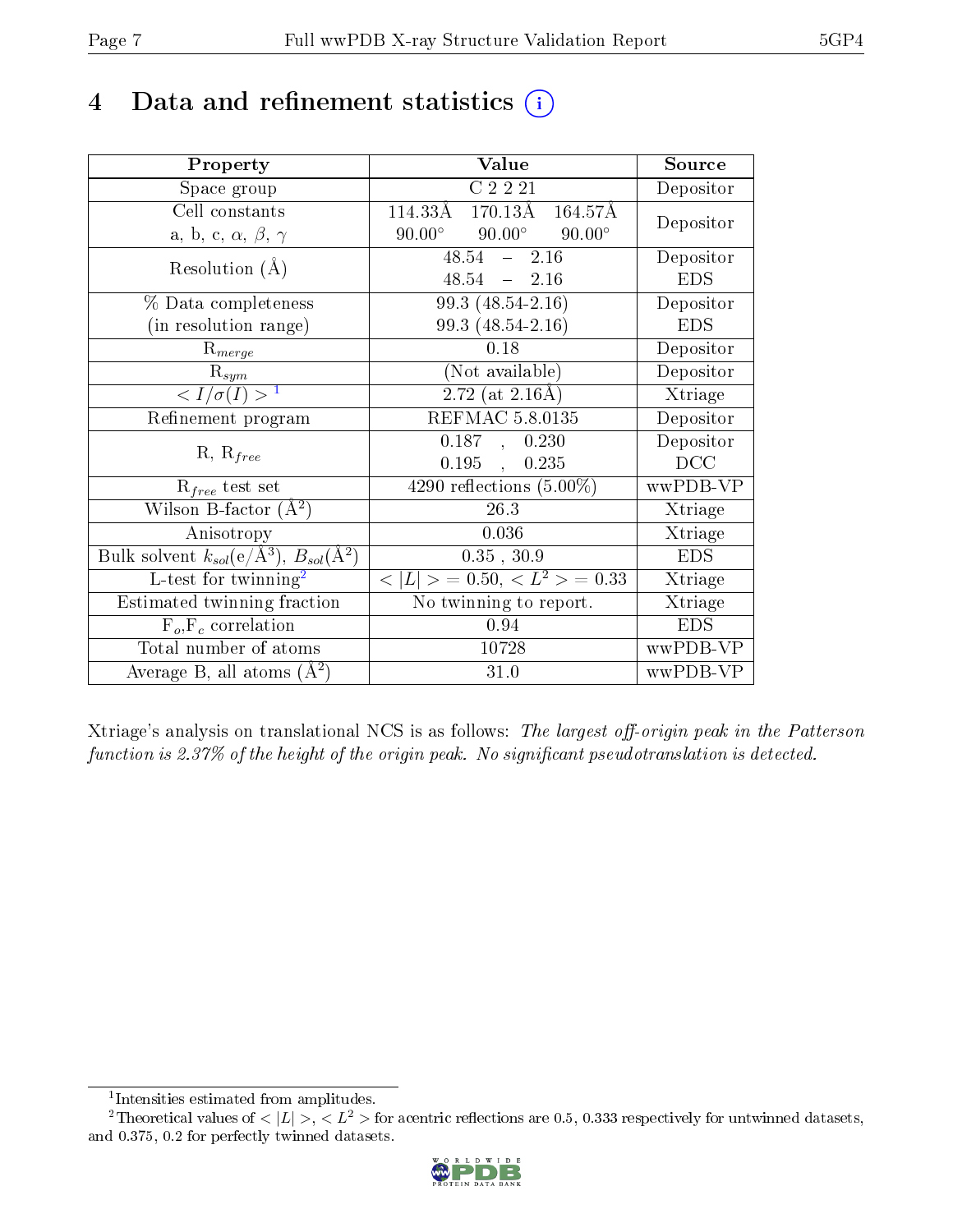# 4 Data and refinement statistics  $(i)$

| Property                                                         | Value                                           | Source     |
|------------------------------------------------------------------|-------------------------------------------------|------------|
| Space group                                                      | C2221                                           | Depositor  |
| Cell constants                                                   | $170.13\text{\AA}$<br>164.57Å<br>114.33Å        |            |
| a, b, c, $\alpha$ , $\beta$ , $\gamma$                           | $90.00^\circ$<br>$90.00^\circ$<br>$90.00^\circ$ | Depositor  |
| Resolution $(A)$                                                 | $48.54 - 2.16$                                  | Depositor  |
|                                                                  | 48.54<br>$-2.16$                                | <b>EDS</b> |
| % Data completeness                                              | 99.3 (48.54-2.16)                               | Depositor  |
| (in resolution range)                                            | 99.3 (48.54-2.16)                               | <b>EDS</b> |
| $R_{merge}$                                                      | 0.18                                            | Depositor  |
| $\mathrm{R}_{sym}$                                               | (Not available)                                 | Depositor  |
| $\langle I/\sigma(I) \rangle^{-1}$                               | $2.72$ (at $2.16\text{\AA}$ )                   | Xtriage    |
| Refinement program                                               | <b>REFMAC 5.8.0135</b>                          | Depositor  |
|                                                                  | 0.187,<br>0.230                                 | Depositor  |
| $R, R_{free}$                                                    | 0.195,<br>0.235                                 | DCC        |
| $\mathcal{R}_{free}$ test set                                    | $\overline{4290}$ reflections $(5.00\%)$        | wwPDB-VP   |
| Wilson B-factor $(A^2)$                                          | 26.3                                            | Xtriage    |
| Anisotropy                                                       | 0.036                                           | Xtriage    |
| Bulk solvent $k_{sol}(\text{e}/\text{A}^3), B_{sol}(\text{A}^2)$ | 0.35, 30.9                                      | <b>EDS</b> |
| L-test for $\mathrm{twinning}^2$                                 | $< L >$ = 0.50, $< L2$ > = 0.33                 | Xtriage    |
| Estimated twinning fraction                                      | $\overline{\text{No}}$ twinning to report.      | Xtriage    |
| $F_o, F_c$ correlation                                           | 0.94                                            | <b>EDS</b> |
| Total number of atoms                                            | 10728                                           | wwPDB-VP   |
| Average B, all atoms $(A^2)$                                     | 31.0                                            | wwPDB-VP   |

Xtriage's analysis on translational NCS is as follows: The largest off-origin peak in the Patterson function is 2.37% of the height of the origin peak. No significant pseudotranslation is detected.

<sup>&</sup>lt;sup>2</sup>Theoretical values of  $\langle |L| \rangle$ ,  $\langle L^2 \rangle$  for acentric reflections are 0.5, 0.333 respectively for untwinned datasets, and 0.375, 0.2 for perfectly twinned datasets.



<span id="page-6-1"></span><span id="page-6-0"></span><sup>1</sup> Intensities estimated from amplitudes.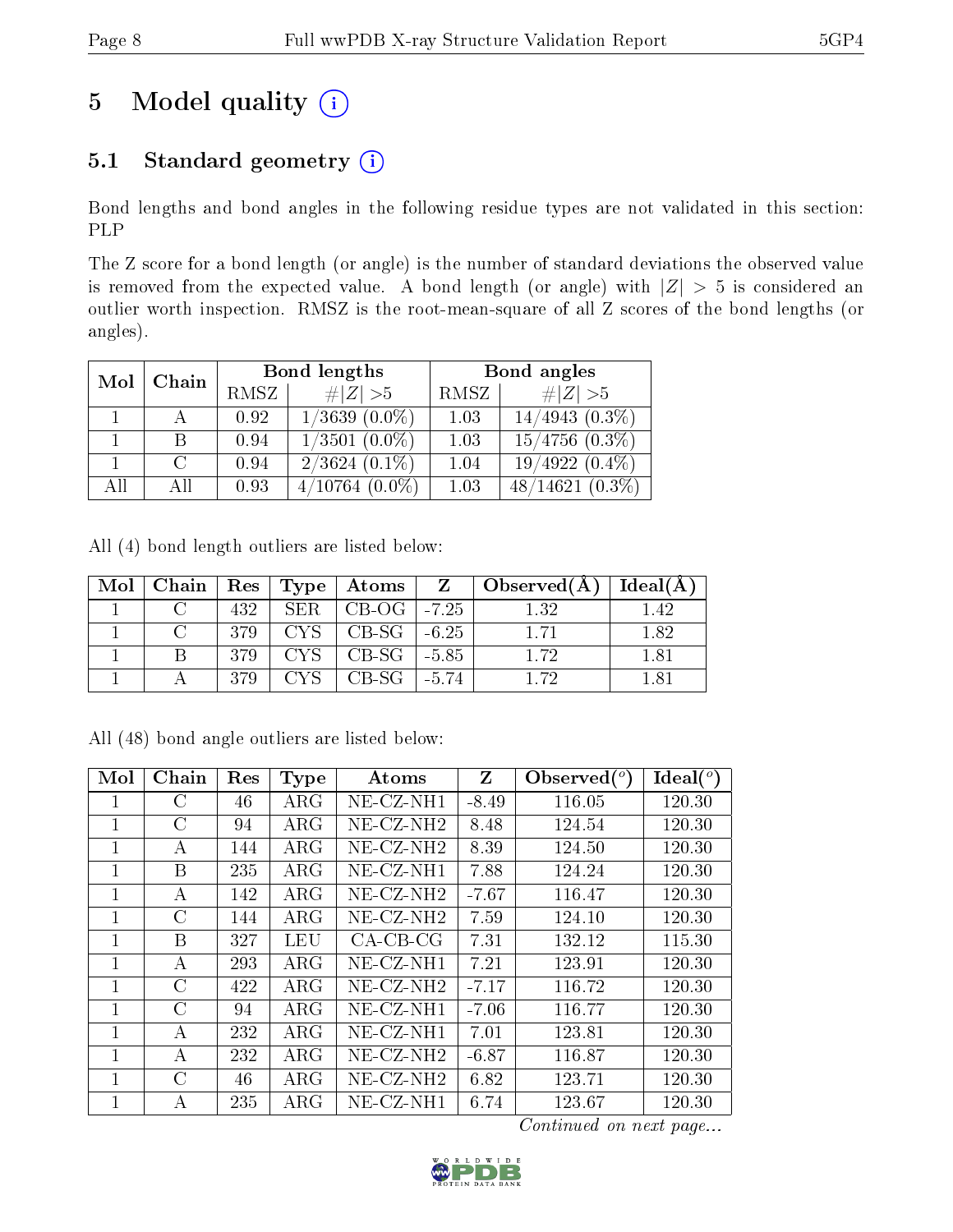# 5 Model quality  $(i)$

## 5.1 Standard geometry  $(i)$

Bond lengths and bond angles in the following residue types are not validated in this section: PLP

The Z score for a bond length (or angle) is the number of standard deviations the observed value is removed from the expected value. A bond length (or angle) with  $|Z| > 5$  is considered an outlier worth inspection. RMSZ is the root-mean-square of all Z scores of the bond lengths (or angles).

| Mol | Chain |      | Bond lengths         | Bond angles |                     |  |
|-----|-------|------|----------------------|-------------|---------------------|--|
|     |       | RMSZ | $\ Z\  > 5$          | RMSZ        | # $ Z >5$           |  |
|     |       | 0.92 | $1/3639$ $(0.0\%)$   | 1.03        | $14/4943(0.3\%)$    |  |
|     | В     | 0.94 | $1/3501$ $(0.0\%)$   | 1.03        | $15/4756$ $(0.3\%)$ |  |
|     | C     | 0.94 | $2/3624$ (0.1%)      | 1.04        | $19/4922(0.4\%)$    |  |
| All | ΑH    | 0.93 | 4/10764<br>$(0.0\%)$ | 1.03        | $48/14621(0.3\%)$   |  |

All (4) bond length outliers are listed below:

|  |     |                  | Mol   Chain   Res   Type   Atoms |       | $\mathbf{Z} \parallel \mathbf{Observed}(\mathbf{A}) \parallel$ | Ideal $(A)$ |
|--|-----|------------------|----------------------------------|-------|----------------------------------------------------------------|-------------|
|  | 432 | SER <sub>1</sub> | $\mid$ CB-OG $\mid$ -7.25        |       | 1.32                                                           | 1.42        |
|  | 379 |                  | $CYS$   CB-SG   -6.25            |       | 171                                                            | 1.82        |
|  | 379 |                  | $CYS$   CB-SG   -5.85            |       | 1.72                                                           | 1.81        |
|  | 370 |                  | - CB-SG -                        | -5.74 | 172                                                            | 181         |

All (48) bond angle outliers are listed below:

| Mol            | Chain         | Res | <b>Type</b> | Atoms                    | Z       | Observed $(°)$ | Ideal $(^\circ)$ |
|----------------|---------------|-----|-------------|--------------------------|---------|----------------|------------------|
|                | С             | 46  | $\rm{ARG}$  | $NE-CZ-NH1$              | $-8.49$ | 116.05         | 120.30           |
| 1              | $\mathcal{C}$ | 94  | $\rm{ARG}$  | NE-CZ-NH <sub>2</sub>    | 8.48    | 124.54         | 120.30           |
| 1              | А             | 144 | $\rm{ARG}$  | $NE-CZ-NH2$              | 8.39    | 124.50         | 120.30           |
| 1              | B             | 235 | $\rm{ARG}$  | $NE$ - $CZ$ - $NH1$      | 7.88    | 124.24         | 120.30           |
| $\overline{1}$ | $\bf{A}$      | 142 | $\rm{ARG}$  | $NE-CZ-NH2$              | $-7.67$ | 116.47         | 120.30           |
| $\mathbf{1}$   | $\mathcal{C}$ | 144 | $\rm{ARG}$  | $NE$ -CZ-NH <sub>2</sub> | 7.59    | 124.10         | 120.30           |
| $\mathbf{1}$   | B             | 327 | LEU         | $CA-CB-CG$               | 7.31    | 132.12         | 115.30           |
| $\mathbf{1}$   | А             | 293 | $\rm{ARG}$  | NE-CZ-NH1                | 7.21    | 123.91         | 120.30           |
| 1              | $\mathcal{C}$ | 422 | $\rm{ARG}$  | $NE-CZ-NH2$              | $-7.17$ | 116.72         | 120.30           |
| 1              | $\mathcal{C}$ | 94  | $\rm{ARG}$  | $NE-CZ-NH1$              | $-7.06$ | 116.77         | 120.30           |
| 1              | А             | 232 | $\rm{ARG}$  | $NE$ - $CZ$ - $NH1$      | 7.01    | 123.81         | 120.30           |
| 1              | А             | 232 | ${\rm ARG}$ | NE-CZ-NH <sub>2</sub>    | $-6.87$ | 116.87         | 120.30           |
| 1              | $\mathcal{C}$ | 46  | $\rm{ARG}$  | NE-CZ-NH <sub>2</sub>    | 6.82    | 123.71         | 120.30           |
| 1              | A             | 235 | ${\rm ARG}$ | $NE$ -CZ-NH1             | 6.74    | 123.67         | 120.30           |

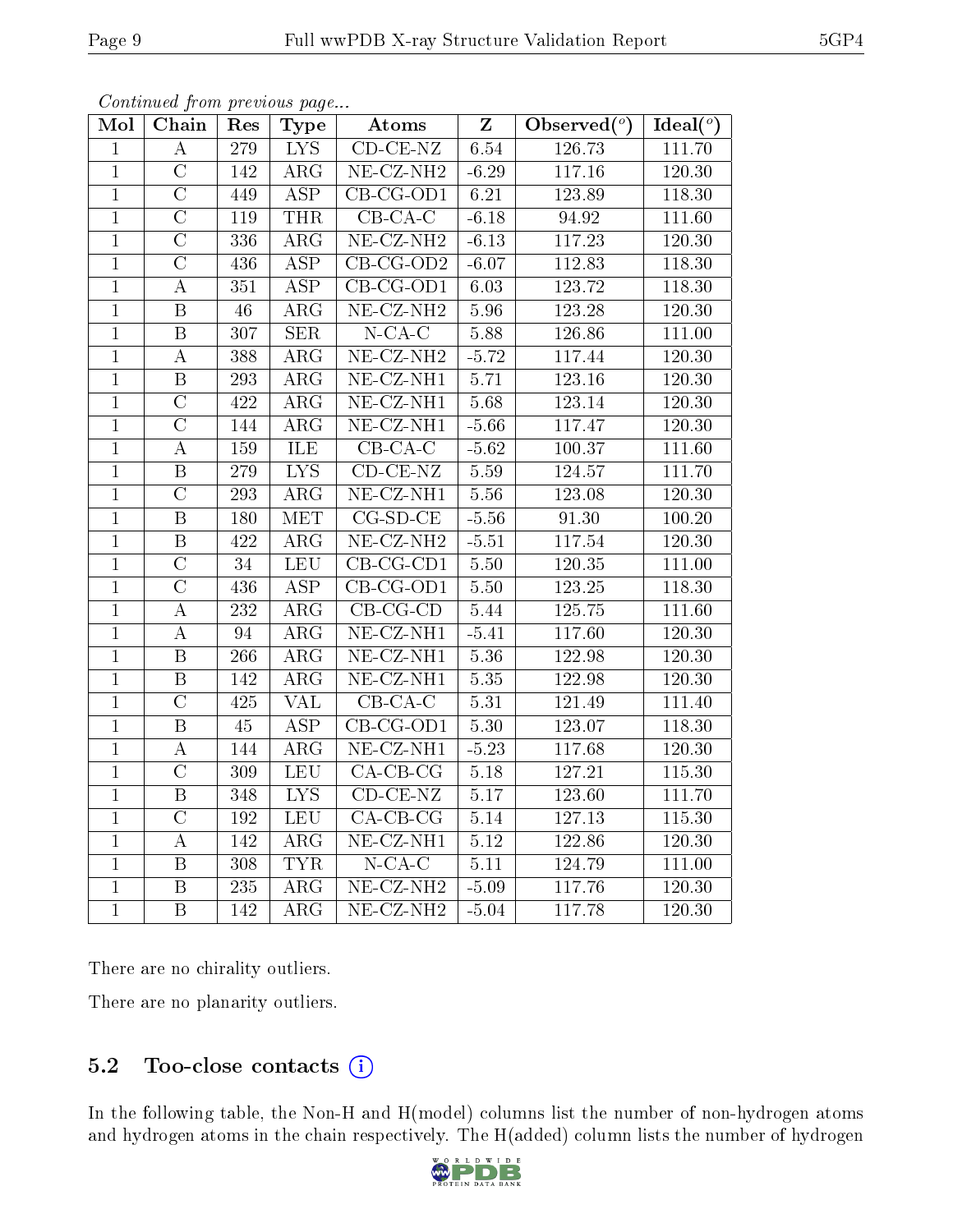| Mol            | Chain                   | Res              | Type                    | Atoms                                       | $\mathbf{Z}$ | Observed $(°)$      | Ideal $(°)$ |
|----------------|-------------------------|------------------|-------------------------|---------------------------------------------|--------------|---------------------|-------------|
| $\mathbf{1}$   | $\boldsymbol{A}$        | 279              | $\overline{\text{LYS}}$ | $CD-CE-NZ$                                  | 6.54         | 126.73              | 111.70      |
| $\overline{1}$ | $\overline{\rm C}$      | 142              | $\overline{\rm ARG}$    | $NE-CZ-NH2$                                 | $-6.29$      | 117.16              | 120.30      |
| $\mathbf{1}$   | $\overline{C}$          | 449              | $\overline{\text{ASP}}$ | $CB-CG-OD1$                                 | 6.21         | 123.89              | 118.30      |
| $\overline{1}$ | $\overline{\rm C}$      | 119              | <b>THR</b>              | $\overline{CB-CA-C}$                        | $-6.18$      | 94.92               | 111.60      |
| $\mathbf{1}$   | $\overline{\rm C}$      | 336              | $\overline{\text{ARG}}$ | $NE-CZ-NH2$                                 | $-6.13$      | 117.23              | $120.30\,$  |
| $\overline{1}$ | $\overline{C}$          | 436              | $\overline{\text{ASP}}$ | $\overline{CB\text{-}CG\text{-}OD2}$        | $-6.07$      | 112.83              | 118.30      |
| $\mathbf{1}$   | $\boldsymbol{A}$        | 351              | <b>ASP</b>              | $\overline{\text{CB-CG-OD1}}$               | 6.03         | 123.72              | 118.30      |
| $\overline{1}$ | $\overline{B}$          | $\overline{46}$  | $\overline{\text{ARG}}$ | $NE$ - $CZ$ - $NH2$                         | 5.96         | 123.28              | 120.30      |
| $\mathbf{1}$   | $\, {\bf B}$            | 307              | <b>SER</b>              | $N$ -CA-C                                   | $5.88\,$     | 126.86              | 111.00      |
| $\overline{1}$ | $\boldsymbol{A}$        | 388              | $\overline{\text{ARG}}$ | $NE$ - $CZ$ - $NH2$                         | $-5.72$      | 117.44              | 120.30      |
| $\mathbf{1}$   | $\, {\bf B}$            | 293              | $\rm{ARG}$              | $\overline{\text{NE-}\text{CZ-}\text{NH1}}$ | 5.71         | $\overline{1}23.16$ | 120.30      |
| $\overline{1}$ | $\overline{\rm C}$      | 422              | $\overline{\text{ARG}}$ | $NE$ -CZ-NH1                                | 5.68         | 123.14              | 120.30      |
| $\mathbf{1}$   | $\overline{\rm C}$      | 144              | $\rm{ARG}$              | $NE- CZ-NH1$                                | $-5.66$      | 117.47              | 120.30      |
| $\overline{1}$ | $\boldsymbol{A}$        | 159              | ILE                     | $\overline{\text{CB-CA-C}}$                 | $-5.62$      | 100.37              | 111.60      |
| $\overline{1}$ | $\overline{\mathbf{B}}$ | 279              | $\overline{\text{LYS}}$ | $CD$ - $CE$ - $NZ$                          | 5.59         | 124.57              | 111.70      |
| $\mathbf{1}$   | $\overline{\rm C}$      | 293              | $\rm{ARG}$              | $NE- CZ-NH1$                                | 5.56         | 123.08              | 120.30      |
| $\mathbf{1}$   | $\overline{\mathrm{B}}$ | 180              | <b>MET</b>              | $CG-SD-CE$                                  | $-5.56$      | 91.30               | 100.20      |
| $\mathbf{1}$   | $\, {\bf B}$            | 422              | ARG                     | $NE- CZ-NH2$                                | $-5.51$      | 117.54              | 120.30      |
| $\mathbf{1}$   | $\overline{\rm C}$      | 34               | <b>LEU</b>              | $\overline{\text{CB-CG-CD1}}$               | 5.50         | 120.35              | 111.00      |
| $\overline{1}$ | $\overline{\rm C}$      | 436              | <b>ASP</b>              | $CB-CG-OD1$                                 | $5.50\,$     | 123.25              | 118.30      |
| $\overline{1}$ | $\boldsymbol{A}$        | $\overline{232}$ | $\overline{\text{ARG}}$ | $CB-CG-CD$                                  | 5.44         | 125.75              | 111.60      |
| $\mathbf{1}$   | $\boldsymbol{A}$        | 94               | $\overline{\text{ARG}}$ | $NE- CZ-NH1$                                | $-5.41$      | 117.60              | 120.30      |
| $\overline{1}$ | $\, {\bf B}$            | 266              | $\overline{\rm{ARG}}$   | $NE- CZ-NH1$                                | 5.36         | 122.98              | 120.30      |
| $\overline{1}$ | $\overline{\mathbf{B}}$ | 142              | $\overline{\rm{ARG}}$   | $NE$ -CZ-NH1                                | 5.35         | 122.98              | 120.30      |
| $\overline{1}$ | $\overline{C}$          | 425              | <b>VAL</b>              | $CB$ - $CA$ - $C$                           | 5.31         | 121.49              | 111.40      |
| $\mathbf{1}$   | $\, {\bf B}$            | 45               | $\overline{\text{ASP}}$ | $CB-CG-OD1$                                 | $5.30\,$     | 123.07              | 118.30      |
| $\overline{1}$ | $\boldsymbol{A}$        | 144              | $\overline{\rm{ARG}}$   | $NE-CZ-NH1$                                 | $-5.23$      | 117.68              | 120.30      |
| $\mathbf{1}$   | $\overline{\rm C}$      | 309              | <b>LEU</b>              | $CA-CB-CG$                                  | $5.18$       | 127.21              | 115.30      |
| $\overline{1}$ | $\overline{\mathrm{B}}$ | 348              | $\overline{\text{LYS}}$ | $CD-CE-NZ$                                  | 5.17         | 123.60              | 111.70      |
| $\mathbf{1}$   | $\overline{C}$          | 192              | <b>LEU</b>              | $CA-CB-CG$                                  | $5.14\,$     | 127.13              | 115.30      |
| $\overline{1}$ | $\boldsymbol{A}$        | 142              | $\overline{\rm ARG}$    | $NE$ -CZ-NH <sub>1</sub>                    | $5.12\,$     | 122.86              | 120.30      |
| $\mathbf{1}$   | $\overline{B}$          | 308              | <b>TYR</b>              | $N$ -CA-C                                   | 5.11         | 124.79              | 111.00      |
| $\mathbf{1}$   | $\overline{B}$          | 235              | $\rm{ARG}$              | $NE-CZ-NH2$                                 | $-5.09$      | 117.76              | 120.30      |
| $\overline{1}$ | $\overline{\mathrm{B}}$ | 142              | $\overline{\text{ARG}}$ | NE-CZ-NH <sub>2</sub>                       | $-5.04$      | 117.78              | 120.30      |

Continued from previous page...

There are no chirality outliers.

There are no planarity outliers.

## 5.2 Too-close contacts (i)

In the following table, the Non-H and H(model) columns list the number of non-hydrogen atoms and hydrogen atoms in the chain respectively. The H(added) column lists the number of hydrogen

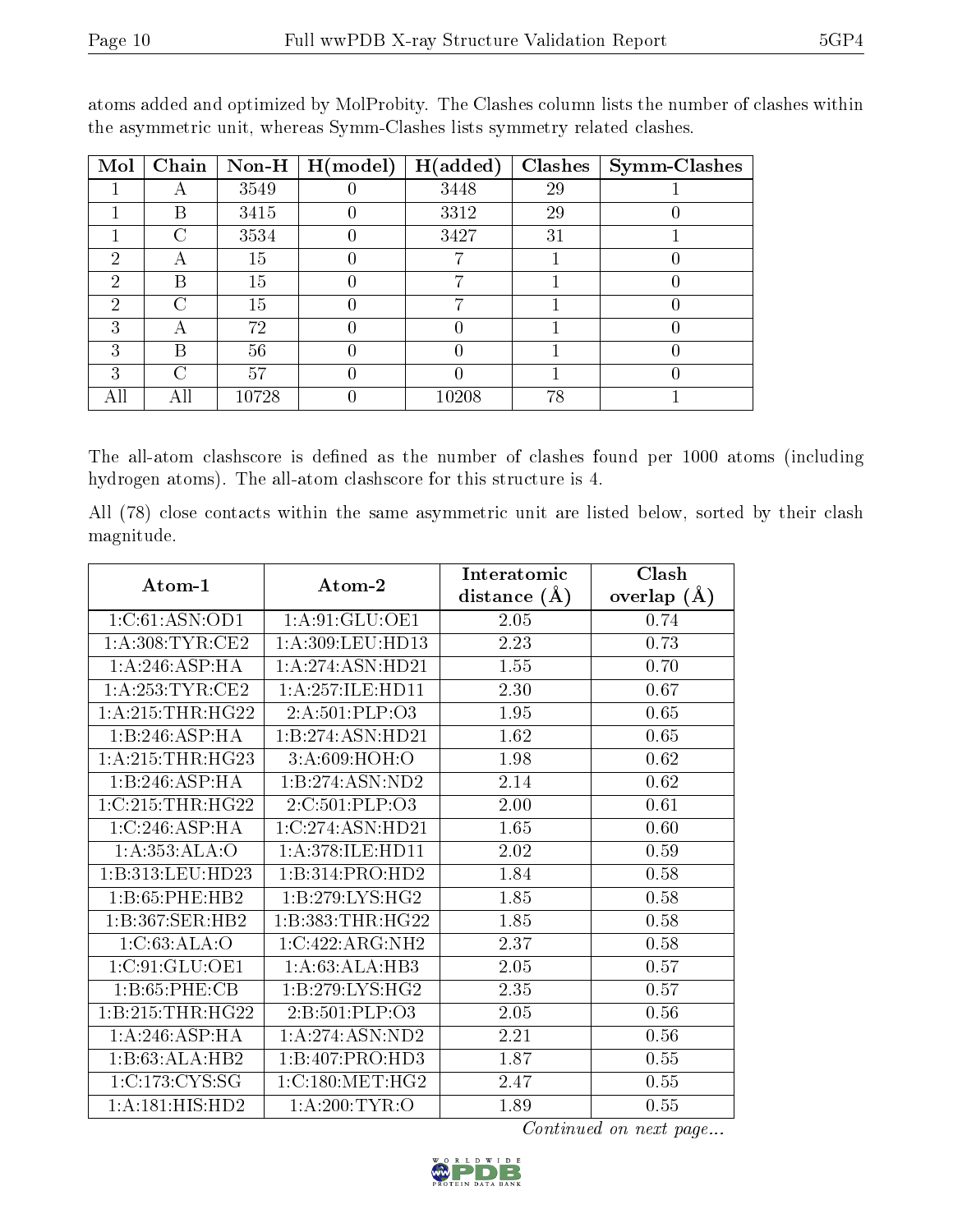| Mol | Chain |       | $\boxed{\text{Non-H} \mid \text{H}(\text{model})}$ | H(added) | <b>Clashes</b> | $Symm$ -Clashes |
|-----|-------|-------|----------------------------------------------------|----------|----------------|-----------------|
|     |       | 3549  |                                                    | 3448     | 29             |                 |
|     | B     | 3415  |                                                    | 3312     | 29             |                 |
|     | ⊖     | 3534  |                                                    | 3427     | 31             |                 |
| 2   |       | 15    |                                                    |          |                |                 |
| 2   | В     | 15    |                                                    |          |                |                 |
| 2   | C     | 15    |                                                    |          |                |                 |
| 3   |       | 72    |                                                    |          |                |                 |
| 3   | В     | 56    |                                                    |          |                |                 |
| 3   | C     | 57    |                                                    |          |                |                 |
| All |       | 10728 |                                                    | 10208    | 78             |                 |

atoms added and optimized by MolProbity. The Clashes column lists the number of clashes within the asymmetric unit, whereas Symm-Clashes lists symmetry related clashes.

The all-atom clashscore is defined as the number of clashes found per 1000 atoms (including hydrogen atoms). The all-atom clashscore for this structure is 4.

All (78) close contacts within the same asymmetric unit are listed below, sorted by their clash magnitude.

| Atom-1             | Atom-2              | Interatomic      | Clash         |
|--------------------|---------------------|------------------|---------------|
|                    |                     | distance $(\AA)$ | overlap $(A)$ |
| 1:C:61:ASN:OD1     | 1: A:91: GLU:OE1    | 2.05             | 0.74          |
| 1: A:308: TYR: CE2 | 1:A:309:LEU:HD13    | 2.23             | 0.73          |
| 1: A:246: ASP:HA   | 1:A:274:ASN:HD21    | 1.55             | 0.70          |
| 1: A:253:TYR:CE2   | 1:A:257:ILE:HD11    | 2.30             | 0.67          |
| 1: A:215:THR:HG22  | 2: A:501:PLP:O3     | 1.95             | 0.65          |
| 1:B:246:ASP:HA     | 1:B:274:ASN:HD21    | 1.62             | 0.65          |
| 1: A:215:THR:HG23  | 3:A:609:HOH:O       | 1.98             | 0.62          |
| 1:B:246:ASP:HA     | 1:B:274:ASN:ND2     | 2.14             | 0.62          |
| 1:C:215:THR:HG22   | 2:C:501:PLP:O3      | 2.00             | 0.61          |
| 1:C:246:ASP:HA     | 1:C:274:ASN:HD21    | 1.65             | 0.60          |
| 1:A:353:ALA:O      | 1: A:378: ILE:HD11  | 2.02             | 0.59          |
| 1:B:313:LEU:HD23   | 1:B:314:PRO:HD2     | 1.84             | 0.58          |
| 1:B:65:PHE:HB2     | 1:B:279:LYS:HG2     | 1.85             | 0.58          |
| 1:B:367:SER:HB2    | 1:B:383:THR:HG22    | 1.85             | 0.58          |
| 1:C:63:ALA:O       | 1:C:422:ARG:NH2     | 2.37             | 0.58          |
| 1:C:91:GLU:OE1     | 1: A:63:ALA:HB3     | 2.05             | 0.57          |
| 1: B:65: PHE:CB    | 1: B: 279: LYS: HG2 | 2.35             | 0.57          |
| 1:B:215:THR:HG22   | 2:B:501:PLP:O3      | 2.05             | 0.56          |
| 1: A:246: ASP:HA   | 1: A:274:ASN:ND2    | 2.21             | 0.56          |
| 1:B:63:ALA:HB2     | 1:B:407:PRO:HD3     | 1.87             | 0.55          |
| 1:C:173:CYS:SG     | 1:C:180:MET:HG2     | 2.47             | $0.55\,$      |
| 1:A:181:HIS:HD2    | 1: A:200:TYR:O      | 1.89             | 0.55          |

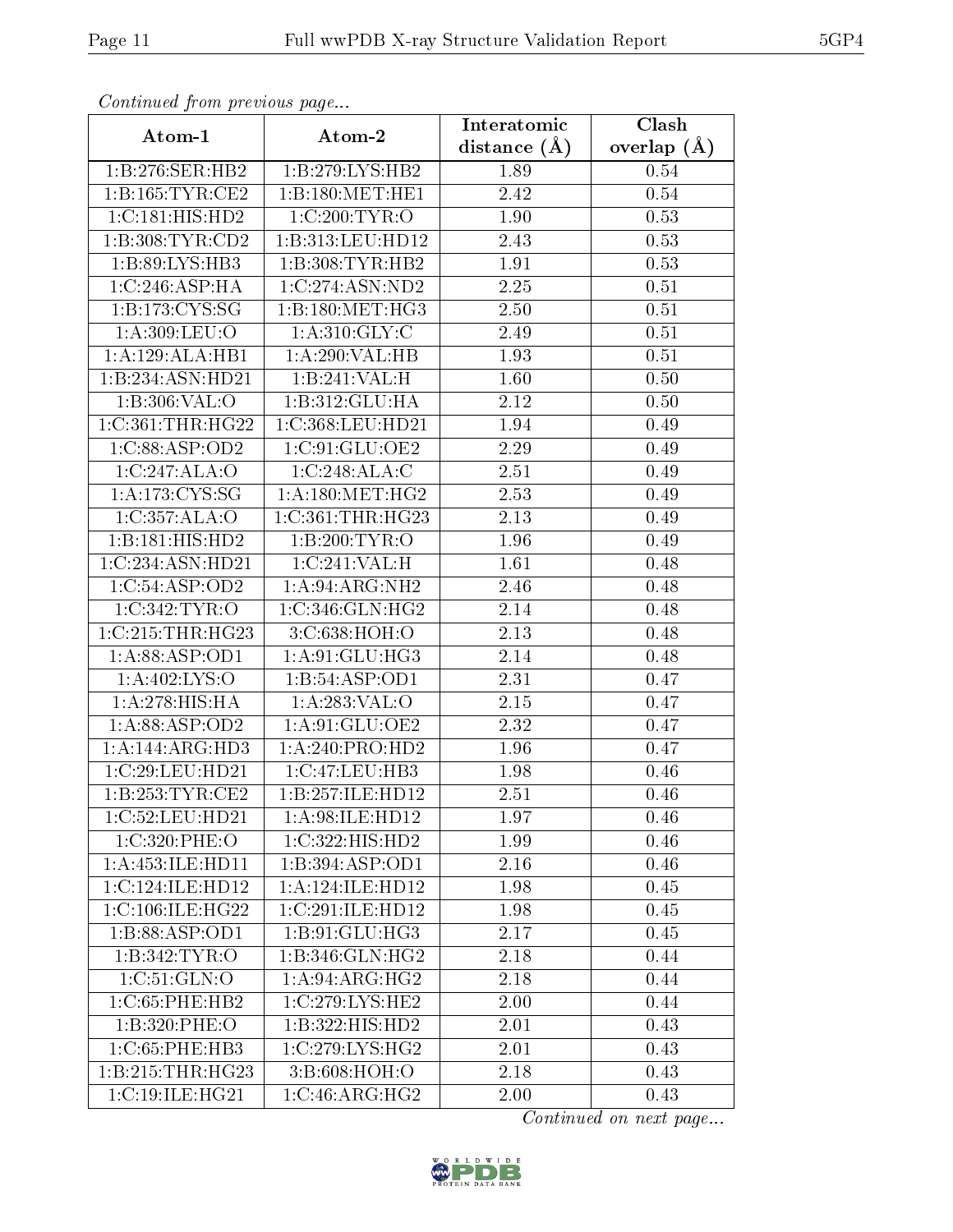| Continuea from previous page |                               | Interatomic       | Clash           |  |
|------------------------------|-------------------------------|-------------------|-----------------|--|
| Atom-1                       | Atom-2                        | distance $(A)$    | overlap $(\AA)$ |  |
| 1:B:276:SER:HB2              | 1:B:279:LYS:HB2               | 1.89              | 0.54            |  |
| 1: B: 165: TYR: CE2          | 1:B:180:MET:HE1               | $\overline{2.42}$ | 0.54            |  |
| 1:C:181:HIS:HD2              | 1:C:200:TYR:O                 | 1.90              | 0.53            |  |
| 1:B:308:TYR:CD2              | 1:B:313:LEU:HD12              | 2.43              | 0.53            |  |
| 1:B:89:LYS:HB3               | 1:B:308:TYR:HB2               | 1.91              | 0.53            |  |
| 1:C:246:ASP:HA               | 1:C:274:ASN:ND2               | 2.25              | 0.51            |  |
| 1:B:173:CYS:SG               | 1:B:180:MET:HG3               | 2.50              | 0.51            |  |
| 1:A:309:LEU:O                | 1: A:310: GLY: C              | 2.49              | 0.51            |  |
| 1:A:129:ALA:HB1              | 1:A:290:VAL:HB                | 1.93              | 0.51            |  |
| 1:B:234:ASN:HD21             | 1:B:241:VAL:H                 | 1.60              | 0.50            |  |
| 1:B:306:VAL:O                | 1:B:312:GLU:HA                | 2.12              | 0.50            |  |
| 1:C:361:THR:HG22             | 1:C:368:LEU:HD21              | 1.94              | 0.49            |  |
| $1:C:88:A\overline{SP:OD2}$  | 1:C:91:GLU:OE2                | 2.29              | 0.49            |  |
| 1:C:247:ALA:O                | 1:C:248:ALA:C                 | 2.51              | 0.49            |  |
| 1:A:173:CYS:SG               | 1: A:180:MET:HG2              | 2.53              | 0.49            |  |
| 1:C:357:ALA:O                | 1:C:361:THR:HG23              | 2.13              | 0.49            |  |
| 1:B:181:HIS:HD2              | 1:B:200:TYR:O                 | 1.96              | 0.49            |  |
| 1:C:234:ASN:HD21             | 1:C:241:VAL:HE                | 1.61              | 0.48            |  |
| 1:C:54:ASP:OD2               | 1: A:94: ARG: NH2             | 2.46              | 0.48            |  |
| 1:C:342:TYR:O                | 1:C:346:GLN:HG2               | 2.14              | 0.48            |  |
| 1:C:215:THR:HG23             | 3:C:638:HOH:O                 | 2.13              | 0.48            |  |
| 1:A:88:ASP:OD1               | 1:A:91:GLU:HG3                | 2.14              | 0.48            |  |
| 1:A:402:LYS:O                | 1:B:54:ASP:OD1                | 2.31              | 0.47            |  |
| 1:A:278:HIS:HA               | 1: A:283: VAL:O               | 2.15              | 0.47            |  |
| 1:A:88:ASP:OD2               | 1:A:91:GLU:OE2                | 2.32              | 0.47            |  |
| $1:A:\overline{144:ARG:HD3}$ | $1:A:240: \overline{PRO:HD2}$ | 1.96              | 0.47            |  |
| 1:C:29:LEU:HD21              | 1:C:47:LEU:HB3                | 1.98              | 0.46            |  |
| 1:B:253:TYR:CE2              | 1:B:257:ILE:HD12              | 2.51              | 0.46            |  |
| 1:C:52:LEU:HD21              | 1: A:98: ILE: HD12            | 1.97              | 0.46            |  |
| 1:C:320:PHE:O                | 1:C:322:HIS:HD2               | 1.99              | 0.46            |  |
| 1:A:453:ILE:HD11             | 1:B:394:ASP:OD1               | 2.16              | 0.46            |  |
| 1:C:124:ILE:HD12             | 1:A:124:ILE:HD12              | 1.98              | 0.45            |  |
| 1:C:106:ILE:HG22             | 1:C:291:ILE:HD12              | 1.98              | 0.45            |  |
| 1:B:88:ASP:OD1               | 1:B:91:GLU:HG3                | 2.17              | 0.45            |  |
| 1:B:342:TYR:O                | 1:B:346:GLN:HG2               | 2.18              | 0.44            |  |
| 1:C:51:GLN:O                 | 1:A:94:ARG:HG2                | 2.18              | 0.44            |  |
| 1:C:65:PHE:HB2               | 1:C:279:LYS:HE2               | 2.00              | 0.44            |  |
| 1:B:320:PHE:O                | 1:B:322:HIS:HD2               | 2.01              | 0.43            |  |
| 1:C:65:PHE:HB3               | 1:C:279:LYS:HG2               | 2.01              | 0.43            |  |
| 1:B:215:THR:HG23             | 3:B:608:HOH:O                 | 2.18              | 0.43            |  |
| 1:C:19:ILE:HG21              | 1:C:46:ARG:HG2                | 2.00              | 0.43            |  |

Continued from previous page.

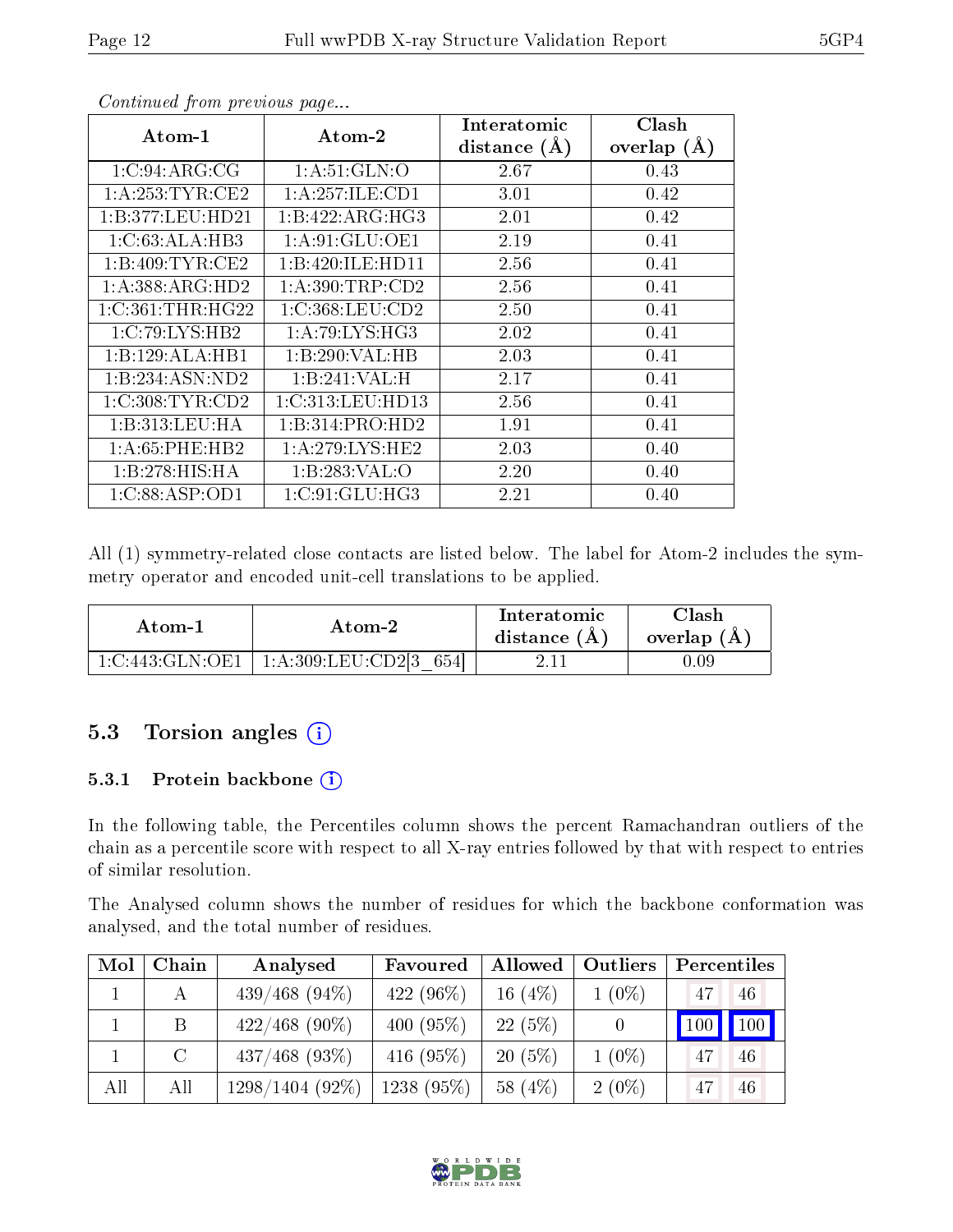| Atom-1              | Atom-2                                      | Interatomic    | Clash         |
|---------------------|---------------------------------------------|----------------|---------------|
|                     |                                             | distance $(A)$ | overlap $(A)$ |
| 1:C:94:ARG:CG       | 1: A:51: GLN:O                              | 2.67           | 0.43          |
| 1: A:253:TYR:CE2    | 1:A:257:ILE:CD1                             | 3.01           | 0.42          |
| 1:B:377:LEU:HD21    | 1:B:422:ARG:HG3                             | 2.01           | 0.42          |
| 1:C:63:ALA:HB3      | 1: A:91: GLU:OE1                            | 2.19           | 0.41          |
| 1: B:409: TYR: CE2  | 1:B:420:ILE:HD11                            | 2.56           | 0.41          |
| 1: A: 388: ARG: HD2 | 1: A:390:TRP:CD2                            | 2.56           | 0.41          |
| 1:C:361:THR:HG22    | 1:C:368:LEU:CD2                             | 2.50           | 0.41          |
| 1:C:79:LYS:HB2      | 1: A:79: LYS: HG3                           | 2.02           | 0.41          |
| 1:B:129:ALA:HB1     | 1:B:290:VAL:HB                              | 2.03           | 0.41          |
| 1:B:234:ASN:ND2     | 1:B:241:VAL:H                               | 2.17           | 0.41          |
| 1:C:308:TYR:CD2     | 1:C:313:LEU:HD13                            | 2.56           | 0.41          |
| 1:B:313:LEU:HA      | 1:B:314:PRO:HD2                             | 1.91           | 0.41          |
| 1: A:65:PHE:HB2     | 1: A:279: LYS: HE2                          | 2.03           | 0.40          |
| 1:B:278:HIS:HA      | 1:B:283:VAL:O                               | 2.20           | 0.40          |
| 1:C:88:ASP:OD1      | $1:\mathrm{C}:91:\mathrm{GLU}:\mathrm{HG3}$ | 2.21           | 0.40          |

Continued from previous page...

All (1) symmetry-related close contacts are listed below. The label for Atom-2 includes the symmetry operator and encoded unit-cell translations to be applied.

| Atom-1          | Atom-2                 | Interatomic<br>distance $(A)$ | $\gamma$ lash<br>overlap (A |
|-----------------|------------------------|-------------------------------|-----------------------------|
| 1:C:443:GLN:OE1 | 1:A:309:LEU:CD2[3 654] |                               | $0.09\,$                    |

### 5.3 Torsion angles  $(i)$

#### 5.3.1 Protein backbone  $(i)$

In the following table, the Percentiles column shows the percent Ramachandran outliers of the chain as a percentile score with respect to all X-ray entries followed by that with respect to entries of similar resolution.

The Analysed column shows the number of residues for which the backbone conformation was analysed, and the total number of residues.

| Mol | Chain | Analysed          | Favoured     | Allowed   | Outliers | Percentiles   |     |
|-----|-------|-------------------|--------------|-----------|----------|---------------|-----|
|     |       | $439/468$ (94\%)  | 422 (96%)    | 16 $(4%)$ | $1(0\%)$ | 47            | 46  |
|     | B.    | $422/468$ (90%)   | 400 $(95\%)$ | $22(5\%)$ |          | $100$   $100$ |     |
|     | C     | $437/468$ (93\%)  | 416 $(95%)$  | $20(5\%)$ | $1(0\%)$ | 47            | -46 |
| All | All   | $1298/1404(92\%)$ | $1238(95\%)$ | 58 (4\%)  | $2(0\%)$ | 47            | -46 |

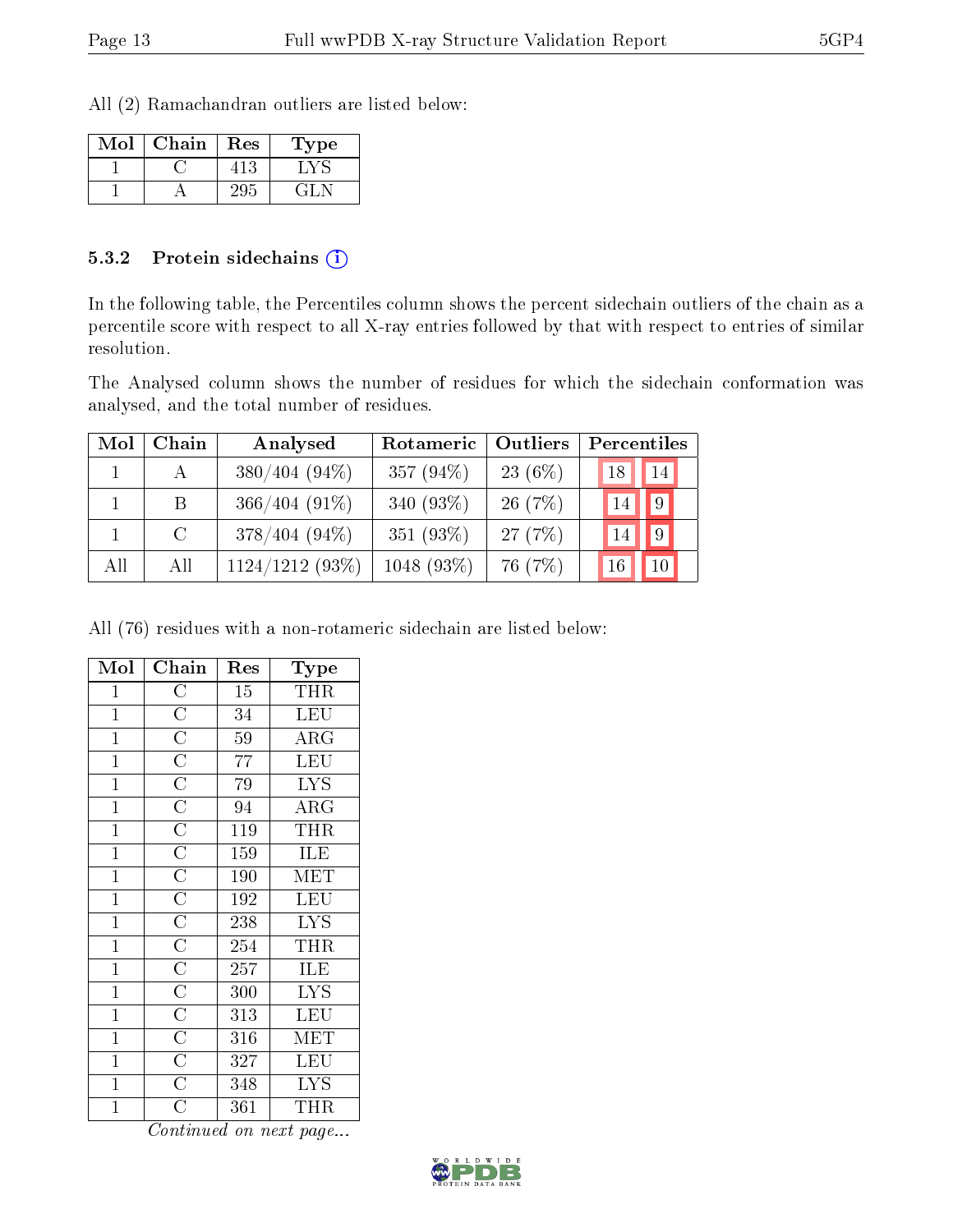All (2) Ramachandran outliers are listed below:

| Mol | Chain | Res | Type |
|-----|-------|-----|------|
|     |       |     |      |
|     |       |     |      |

#### 5.3.2 Protein sidechains  $\left( \widehat{\mathbf{i}} \right)$

In the following table, the Percentiles column shows the percent sidechain outliers of the chain as a percentile score with respect to all X-ray entries followed by that with respect to entries of similar resolution.

The Analysed column shows the number of residues for which the sidechain conformation was analysed, and the total number of residues.

| Mol | Chain         | Analysed        | Rotameric    | Outliers   | Percentiles            |
|-----|---------------|-----------------|--------------|------------|------------------------|
|     | $\mathsf{A}$  | $380/404(94\%)$ | 357 $(94\%)$ | 23 $(6\%)$ | 18 <br>14 <sub>h</sub> |
|     | B             | $366/404(91\%)$ | 340 $(93\%)$ | 26(7%)     | $ 9\rangle$<br>14      |
|     | $\mathcal{C}$ | $378/404(94\%)$ | 351 (93%)    | 27(7%)     | 9 <br>14               |
| All | All           | 1124/1212 (93%) | $1048(93\%)$ | 76 (7%)    | 16<br>10               |

All (76) residues with a non-rotameric sidechain are listed below:

| Mol            | Chain                               | Res              | Type                  |
|----------------|-------------------------------------|------------------|-----------------------|
| $\mathbf{1}$   | $\overline{C}$                      | 15               | THR                   |
| $\mathbf{1}$   | $\overline{C}$                      | 34               | <b>LEU</b>            |
| $\mathbf{1}$   | $\overline{C}$                      | 59               | $\rm{ARG}$            |
| $\mathbf{1}$   | $\overline{C}$                      | $\overline{77}$  | LEU                   |
| $\overline{1}$ | $\overline{\text{C}}$               | 79               | <b>LYS</b>            |
| $\overline{1}$ | $\frac{\overline{C}}{\overline{C}}$ | 94               | $\overline{\rm{ARG}}$ |
| $\mathbf{1}$   |                                     | $\overline{119}$ | THR                   |
| $\mathbf{1}$   | $\overline{C}$                      | 159              | ILE                   |
| $\mathbf{1}$   | $\frac{\overline{C}}{C}$            | 190              | <b>MET</b>            |
| $\mathbf{1}$   |                                     | 192              | LEU                   |
| $\mathbf{1}$   | $\overline{\overline{C}}$           | 238              | <b>LYS</b>            |
| $\mathbf{1}$   | $\frac{\overline{C}}{\overline{C}}$ | 254              | THR                   |
| $\overline{1}$ |                                     | 257              | ILE                   |
| $\mathbf{1}$   |                                     | 300              | <b>LYS</b>            |
| $\mathbf{1}$   | $\overline{C}$                      | 313              | LEU                   |
| $\mathbf{1}$   | $\frac{\overline{C}}{\overline{C}}$ | 316              | $ME\overline{T}$      |
| $\mathbf{1}$   |                                     | 327              | LEU                   |
| $\overline{1}$ | $\overline{C}$                      | 348              | <b>LYS</b>            |
| $\mathbf{1}$   | $\overline{\rm C}$                  | 361              | THR                   |

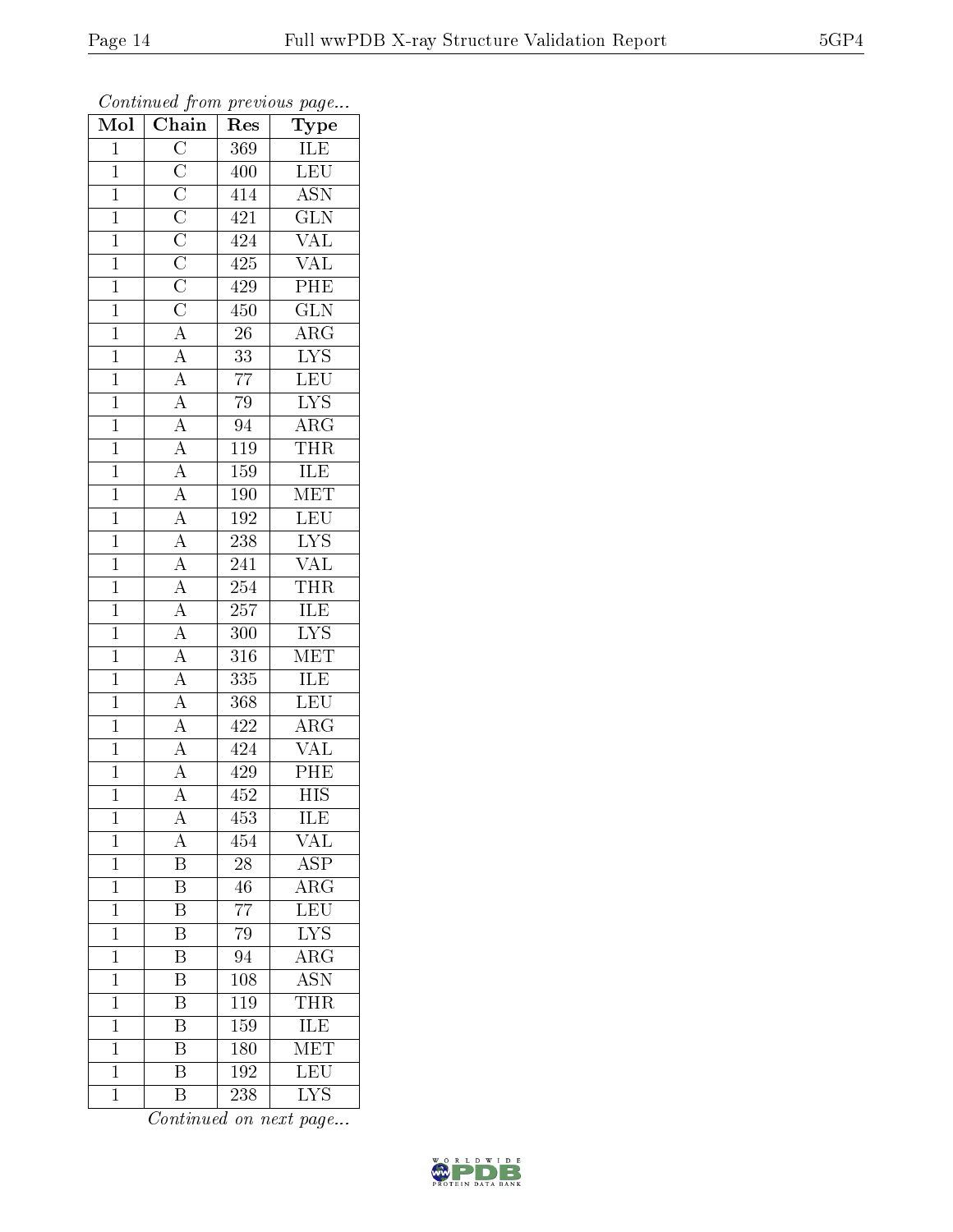| $\overline{\text{M}}$ ol | $\overline{\text{Chain}}$                                                                                                                                                                                                                                                                                                                                                                                                                                                                                                              | Res              | ${\bf Type}$              |
|--------------------------|----------------------------------------------------------------------------------------------------------------------------------------------------------------------------------------------------------------------------------------------------------------------------------------------------------------------------------------------------------------------------------------------------------------------------------------------------------------------------------------------------------------------------------------|------------------|---------------------------|
| $\mathbf{1}$             |                                                                                                                                                                                                                                                                                                                                                                                                                                                                                                                                        | 369              | <b>ILE</b>                |
| $\overline{1}$           |                                                                                                                                                                                                                                                                                                                                                                                                                                                                                                                                        | 400              | LEU                       |
| $\mathbf{1}$             |                                                                                                                                                                                                                                                                                                                                                                                                                                                                                                                                        | $\sqrt{414}$     | $\overline{\text{ASN}}$   |
| $\mathbf{1}$             |                                                                                                                                                                                                                                                                                                                                                                                                                                                                                                                                        | 421              | $\overline{\text{GLN}}$   |
| $\overline{1}$           |                                                                                                                                                                                                                                                                                                                                                                                                                                                                                                                                        | 424              | $\overline{\text{VAL}}$   |
| $\mathbf{1}$             |                                                                                                                                                                                                                                                                                                                                                                                                                                                                                                                                        | 425              | $\overline{\text{VAL}}$   |
| $\overline{1}$           |                                                                                                                                                                                                                                                                                                                                                                                                                                                                                                                                        | 429              | $\overline{\rm PHE}$      |
| $\mathbf{1}$             |                                                                                                                                                                                                                                                                                                                                                                                                                                                                                                                                        | 450              | $\overline{\text{GLN}}$   |
| $\mathbf{1}$             |                                                                                                                                                                                                                                                                                                                                                                                                                                                                                                                                        | $\overline{26}$  | $\overline{\text{ARG}}$   |
| $\mathbf{1}$             |                                                                                                                                                                                                                                                                                                                                                                                                                                                                                                                                        | $\overline{33}$  | $\overline{\text{LYS}}$   |
| $\overline{1}$           |                                                                                                                                                                                                                                                                                                                                                                                                                                                                                                                                        | $\overline{77}$  | LEU                       |
| $\overline{1}$           |                                                                                                                                                                                                                                                                                                                                                                                                                                                                                                                                        | 79               | $\overline{\text{LYS}}$   |
| $\overline{1}$           |                                                                                                                                                                                                                                                                                                                                                                                                                                                                                                                                        | $\overline{94}$  | $\overline{\rm{ARG}}$     |
| $\mathbf{1}$             |                                                                                                                                                                                                                                                                                                                                                                                                                                                                                                                                        | 119              | <b>THR</b>                |
| $\overline{1}$           |                                                                                                                                                                                                                                                                                                                                                                                                                                                                                                                                        | 159              | ILE                       |
| $\mathbf{1}$             | $\frac{\boxed{C}}{\boxed{C}} \frac{\boxed{C}}{\boxed{C}} \frac{\boxed{C}}{\boxed{C}} \frac{\boxed{C}}{\boxed{C}} \frac{\boxed{A}}{\boxed{A}} \frac{\boxed{A}}{\boxed{A}} \frac{\boxed{A}}{\boxed{A}} \frac{\boxed{A}}{\boxed{A}} \frac{\boxed{A}}{\boxed{A}} \frac{\boxed{A}}{\boxed{A}} \frac{\boxed{A}}{\boxed{A}} \frac{\boxed{A}}{\boxed{A}} \frac{\boxed{A}}{\boxed{A}} \frac{\boxed{A}}{\boxed{A}} \frac{\boxed{A}}{\boxed{A}} \frac{\boxed{A}}{\boxed{A}} \frac{\boxed{A}}{\boxed{A}} \frac{\boxed{A}}{\boxed{A}} \frac{\boxed$ | 190              | $\overline{\text{MET}}$   |
| $\overline{1}$           |                                                                                                                                                                                                                                                                                                                                                                                                                                                                                                                                        | 192              | LEU                       |
| $\mathbf{1}$             |                                                                                                                                                                                                                                                                                                                                                                                                                                                                                                                                        | 238              | $\overline{\text{LYS}}$   |
| $\overline{1}$           |                                                                                                                                                                                                                                                                                                                                                                                                                                                                                                                                        | $\overline{241}$ | $\overline{\text{VAL}}$   |
| $\mathbf{1}$             |                                                                                                                                                                                                                                                                                                                                                                                                                                                                                                                                        | 254              | <b>THR</b>                |
| $\overline{1}$           |                                                                                                                                                                                                                                                                                                                                                                                                                                                                                                                                        | 257              | <b>ILE</b>                |
| $\overline{1}$           |                                                                                                                                                                                                                                                                                                                                                                                                                                                                                                                                        | 300              | $\overline{\text{LYS}}$   |
| $\mathbf{1}$             |                                                                                                                                                                                                                                                                                                                                                                                                                                                                                                                                        | 316              | <b>MET</b>                |
| $\overline{1}$           |                                                                                                                                                                                                                                                                                                                                                                                                                                                                                                                                        | $\overline{335}$ | <b>ILE</b>                |
| $\mathbf{1}$             |                                                                                                                                                                                                                                                                                                                                                                                                                                                                                                                                        | 368              | LEU                       |
| $\overline{1}$           |                                                                                                                                                                                                                                                                                                                                                                                                                                                                                                                                        | 422              | $\overline{\text{ARG}}$   |
| $\overline{1}$           |                                                                                                                                                                                                                                                                                                                                                                                                                                                                                                                                        | $\overline{424}$ | $\overline{\text{VAL}}$   |
| $\mathbf{1}$             |                                                                                                                                                                                                                                                                                                                                                                                                                                                                                                                                        | $4\sqrt{2}9$     | $\overline{PHE}$          |
| $\mathbf 1$              |                                                                                                                                                                                                                                                                                                                                                                                                                                                                                                                                        | 452              | $\overline{\mathrm{HIS}}$ |
| $\mathbf{1}$             | А                                                                                                                                                                                                                                                                                                                                                                                                                                                                                                                                      | $\overline{453}$ | ILE                       |
| $\mathbf{1}$             | $\rm A$                                                                                                                                                                                                                                                                                                                                                                                                                                                                                                                                | 454              | $\text{VAL}$              |
| $\mathbf{1}$             | $\overline{\mathrm{B}}$                                                                                                                                                                                                                                                                                                                                                                                                                                                                                                                | $\overline{28}$  | $\overline{\text{ASP}}$   |
| $\mathbf{1}$             | B                                                                                                                                                                                                                                                                                                                                                                                                                                                                                                                                      | 46               | $\overline{\text{ARG}}$   |
| $\mathbf{1}$             | $\overline{\mathrm{B}}$                                                                                                                                                                                                                                                                                                                                                                                                                                                                                                                | $\overline{77}$  | $\overline{\text{LEU}}$   |
| $\mathbf{1}$             | B                                                                                                                                                                                                                                                                                                                                                                                                                                                                                                                                      | 79               | $\overline{\text{LYS}}$   |
| $\mathbf 1$              | $\overline{\mathrm{B}}$                                                                                                                                                                                                                                                                                                                                                                                                                                                                                                                | $\overline{94}$  | $\overline{\rm{ARG}}$     |
| $\mathbf 1$              | $\overline{\mathrm{B}}$                                                                                                                                                                                                                                                                                                                                                                                                                                                                                                                | 108              | <b>ASN</b>                |
| $\mathbf 1$              | $\overline{\rm B}$                                                                                                                                                                                                                                                                                                                                                                                                                                                                                                                     | 119              | <b>THR</b>                |
| $\mathbf 1$              | $\overline{\mathrm{B}}$                                                                                                                                                                                                                                                                                                                                                                                                                                                                                                                | 159              | ILE                       |
| $\mathbf 1$              | Β                                                                                                                                                                                                                                                                                                                                                                                                                                                                                                                                      | 180              | MET                       |
| $\mathbf{1}$             | $\overline{\mathrm{B}}$                                                                                                                                                                                                                                                                                                                                                                                                                                                                                                                | 192              | $\overline{\text{LEU}}$   |
| $\mathbf{1}$             | Β                                                                                                                                                                                                                                                                                                                                                                                                                                                                                                                                      | 238              | $\overline{\text{LYS}}$   |

Continued from previous page...

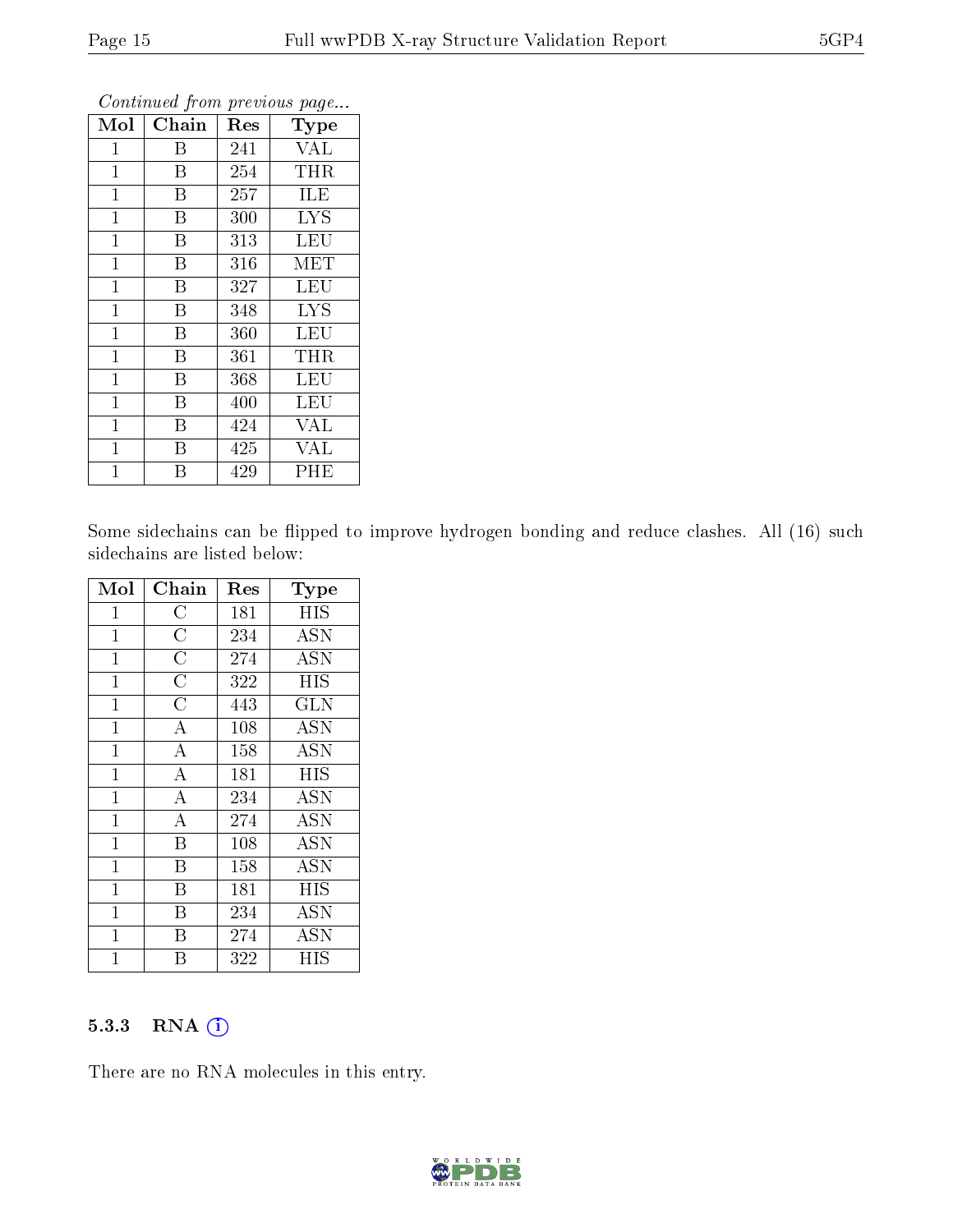| Mol            | $\overline{\text{Chain}}$ | Res | Type       |
|----------------|---------------------------|-----|------------|
| $\mathbf{1}$   | Β                         | 241 | <b>VAL</b> |
| $\mathbf{1}$   | B                         | 254 | <b>THR</b> |
| $\mathbf{1}$   | B                         | 257 | ILE        |
| $\mathbf{1}$   | B                         | 300 | <b>LYS</b> |
| $\mathbf{1}$   | B                         | 313 | <b>LEU</b> |
| 1              | B                         | 316 | MET        |
| $\mathbf{1}$   | B                         | 327 | <b>LEU</b> |
| $\mathbf{1}$   | $\boldsymbol{B}$          | 348 | <b>LYS</b> |
| $\mathbf{1}$   | B                         | 360 | <b>LEU</b> |
| $\mathbf{1}$   | B                         | 361 | <b>THR</b> |
| $\mathbf{1}$   | B                         | 368 | <b>LEU</b> |
| $\mathbf 1$    | B                         | 400 | LEU        |
| $\mathbf{1}$   | B                         | 424 | <b>VAL</b> |
| $\mathbf{1}$   | B                         | 425 | <b>VAL</b> |
| $\overline{1}$ | В                         | 429 | PHE        |

Continued from previous page...

Some sidechains can be flipped to improve hydrogen bonding and reduce clashes. All (16) such sidechains are listed below:

| Mol          | Chain                   | $\operatorname{Res}% \left( \mathcal{N}\right) \equiv\operatorname{Res}(\mathcal{N}_{0})\cap\mathcal{N}_{1}$ | Type       |
|--------------|-------------------------|--------------------------------------------------------------------------------------------------------------|------------|
| $\mathbf{1}$ | $\overline{\rm C}$      | 181                                                                                                          | <b>HIS</b> |
| $\mathbf 1$  | $\overline{\rm C}$      | 234                                                                                                          | <b>ASN</b> |
| $\mathbf{1}$ | $\overline{\rm C}$      | 274                                                                                                          | <b>ASN</b> |
| $\mathbf{1}$ | $\overline{\rm C}$      | 322                                                                                                          | <b>HIS</b> |
| $\mathbf{1}$ | $\overline{\rm C}$      | 443                                                                                                          | <b>GLN</b> |
| $\mathbf{1}$ | $\overline{\rm A}$      | 108                                                                                                          | <b>ASN</b> |
| $\mathbf 1$  | $\overline{\rm A}$      | 158                                                                                                          | <b>ASN</b> |
| $\mathbf{1}$ | $\overline{\rm A}$      | 181                                                                                                          | HIS        |
| $\mathbf{1}$ | $\overline{\rm A}$      | 234                                                                                                          | <b>ASN</b> |
| $\mathbf{1}$ | $\overline{A}$          | 274                                                                                                          | <b>ASN</b> |
| $\mathbf{1}$ | $\overline{\mathrm{B}}$ | 108                                                                                                          | <b>ASN</b> |
| $\mathbf 1$  | B                       | 158                                                                                                          | <b>ASN</b> |
| $\mathbf{1}$ | B                       | 181                                                                                                          | HIS        |
| $\mathbf 1$  | B                       | 234                                                                                                          | <b>ASN</b> |
| $\mathbf{1}$ | B                       | 274                                                                                                          | <b>ASN</b> |
| 1            | Β                       | 322                                                                                                          | HIS        |

#### 5.3.3 RNA [O](https://www.wwpdb.org/validation/2017/XrayValidationReportHelp#rna)i

There are no RNA molecules in this entry.

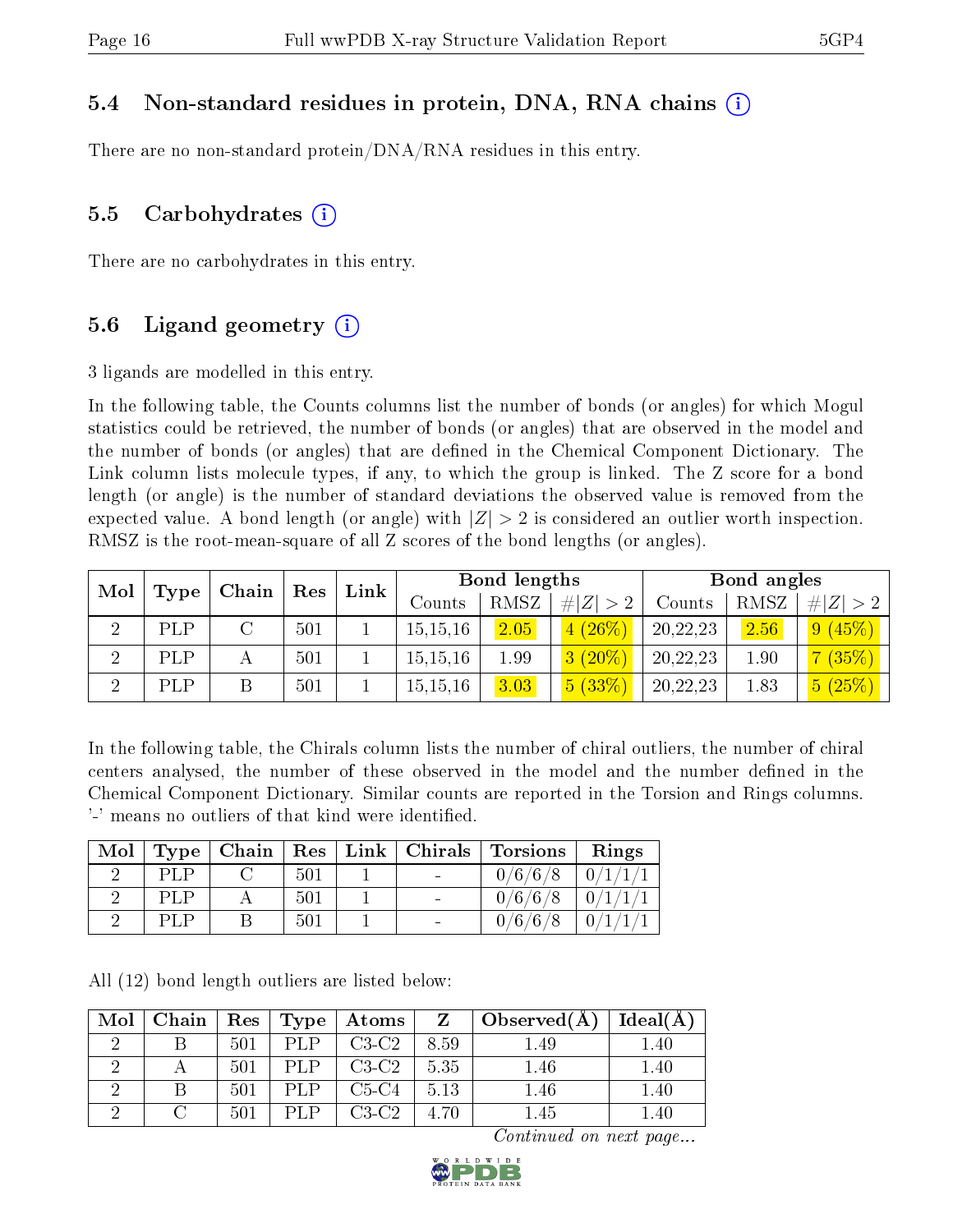#### 5.4 Non-standard residues in protein, DNA, RNA chains (i)

There are no non-standard protein/DNA/RNA residues in this entry.

#### 5.5 Carbohydrates (i)

There are no carbohydrates in this entry.

#### 5.6 Ligand geometry  $(i)$

3 ligands are modelled in this entry.

In the following table, the Counts columns list the number of bonds (or angles) for which Mogul statistics could be retrieved, the number of bonds (or angles) that are observed in the model and the number of bonds (or angles) that are dened in the Chemical Component Dictionary. The Link column lists molecule types, if any, to which the group is linked. The Z score for a bond length (or angle) is the number of standard deviations the observed value is removed from the expected value. A bond length (or angle) with  $|Z| > 2$  is considered an outlier worth inspection. RMSZ is the root-mean-square of all Z scores of the bond lengths (or angles).

| Mol<br>$\mathbf{Chain}^+$ |      |  |     |  |            |      |             |          |      |           |  |  |  |  |  |  |  |  |  | ${\rm Res}$ | Link |  | Bond lengths |  |  | Bond angles |  |
|---------------------------|------|--|-----|--|------------|------|-------------|----------|------|-----------|--|--|--|--|--|--|--|--|--|-------------|------|--|--------------|--|--|-------------|--|
|                           | Type |  |     |  | Counts     | RMSZ | # $ Z  > 2$ | Counts   | RMSZ | Z >2<br># |  |  |  |  |  |  |  |  |  |             |      |  |              |  |  |             |  |
|                           | PLP  |  | 501 |  | 15, 15, 16 | 2.05 | $4(26\%)$   | 20,22,23 | 2.56 | [9(45%)]  |  |  |  |  |  |  |  |  |  |             |      |  |              |  |  |             |  |
| ച                         | PLP  |  | 501 |  | 15, 15, 16 | 1.99 | $3(20\%)$   | 20,22,23 | 1.90 | $(35\%)$  |  |  |  |  |  |  |  |  |  |             |      |  |              |  |  |             |  |
| ച                         | PLP  |  | 501 |  | 15, 15, 16 | 3.03 | 5(33%)      | 20,22,23 | 1.83 | 5(25%)    |  |  |  |  |  |  |  |  |  |             |      |  |              |  |  |             |  |

In the following table, the Chirals column lists the number of chiral outliers, the number of chiral centers analysed, the number of these observed in the model and the number defined in the Chemical Component Dictionary. Similar counts are reported in the Torsion and Rings columns. '-' means no outliers of that kind were identified.

|     |     |  | Mol   Type   Chain   Res   Link   Chirals   Torsions   Rings |                     |
|-----|-----|--|--------------------------------------------------------------|---------------------|
| PLP | 501 |  | 0/6/6/8                                                      | $\pm 0/1/1/1$       |
| PLP | 501 |  | 0/6/6/8                                                      | $\pm 0/1/1/1 \pm$   |
| PLP | 501 |  | 0/6/6/8                                                      | $\mid 0/1/1/1 \mid$ |

All (12) bond length outliers are listed below:

| Mol | Chain |     | $\mid$ Res $\mid$ Type $\mid$ | $\pm$ Atoms | Z    | Observed(A) | Ideal(A) |
|-----|-------|-----|-------------------------------|-------------|------|-------------|----------|
|     |       | 501 | PI P                          | $C3-C2$     | 8.59 | 1.49        | $1.40\,$ |
|     |       | 501 | PI P                          | $C3-C2$     | 5.35 | $1.46\,$    | $1.40\,$ |
|     |       | 501 | PLP.                          | $C5-C4$     | 5.13 | 1.46        | $1.40\,$ |
|     |       | 501 | DI P                          | $C3-C2$     | 4.70 | 1.45        | $1.40\,$ |

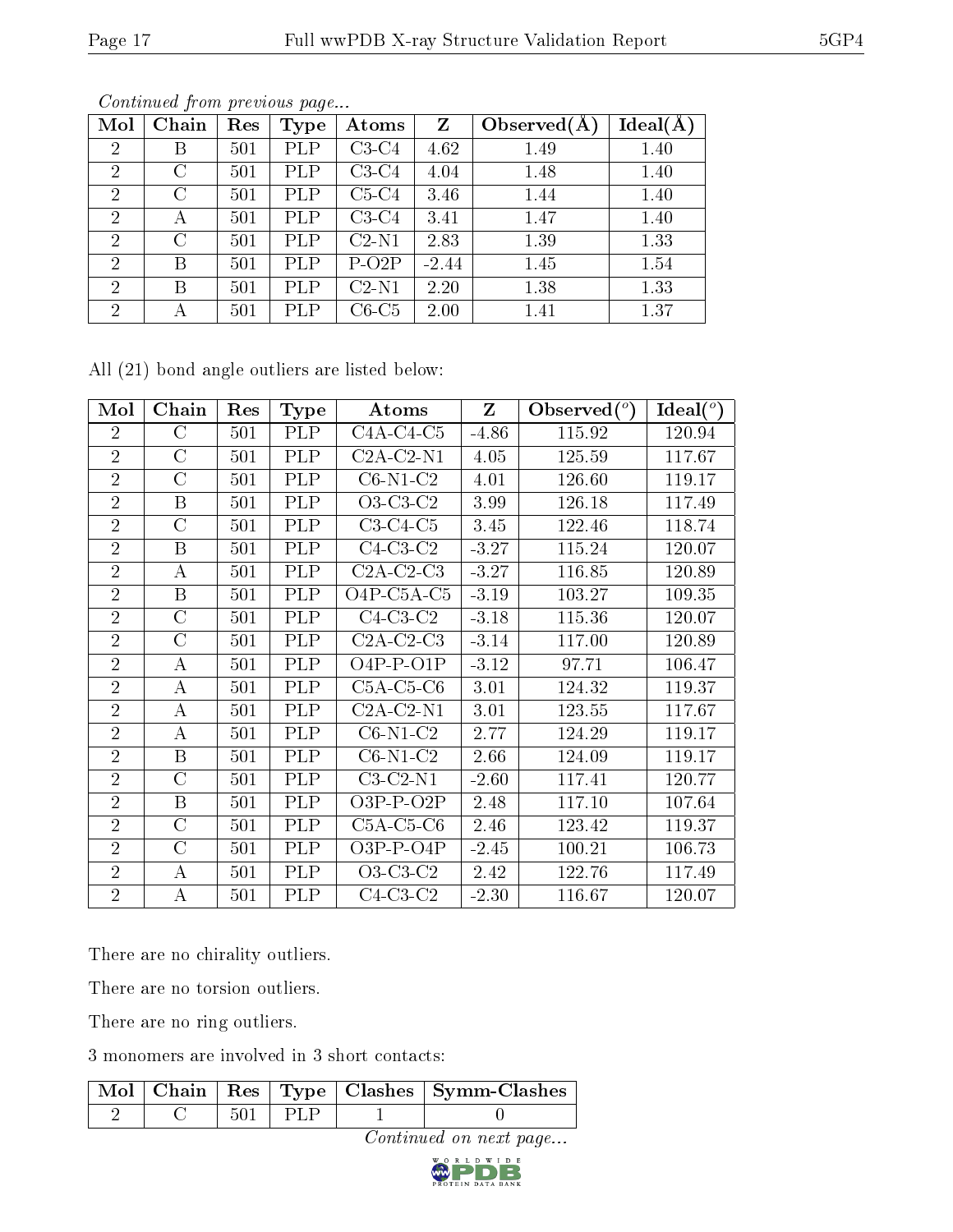| Mol            | Chain   | Res | <b>Type</b> | Atoms   | Z       | Observed $(A)$ | Ideal(A) |
|----------------|---------|-----|-------------|---------|---------|----------------|----------|
| $\overline{2}$ | Β       | 501 | <b>PLP</b>  | $C3-C4$ | 4.62    | 1.49           | 1.40     |
| $\overline{2}$ | С       | 501 | <b>PLP</b>  | $C3-C4$ | 4.04    | 1.48           | 1.40     |
| $\overline{2}$ | С       | 501 | <b>PLP</b>  | $C5-C4$ | 3.46    | 1.44           | 1.40     |
| 2              | А       | 501 | <b>PLP</b>  | $C3-C4$ | 3.41    | 1.47           | 1.40     |
| $\overline{2}$ | $\rm C$ | 501 | PLP         | $C2-N1$ | 2.83    | 1.39           | 1.33     |
| $\overline{2}$ | Β       | 501 | PLP         | $P-O2P$ | $-2.44$ | 1.45           | 1.54     |
| $\overline{2}$ | В       | 501 | PLP         | $C2-N1$ | 2.20    | 1.38           | 1.33     |
| $\overline{2}$ | А       | 501 | PLP         | $C6-C5$ | 2.00    | 1.41           | 1.37     |

Continued from previous page...

All (21) bond angle outliers are listed below:

| Mol            | Chain            | Res | Type       | Atoms       | Z       | Observed $(°)$ | Ideal $(°)$ |
|----------------|------------------|-----|------------|-------------|---------|----------------|-------------|
| $\overline{2}$ | $\rm C$          | 501 | PLP        | $C4A-C4-C5$ | $-4.86$ | 115.92         | 120.94      |
| $\overline{2}$ | $\overline{C}$   | 501 | <b>PLP</b> | $C2A-C2-N1$ | 4.05    | 125.59         | 117.67      |
| $\overline{2}$ | $\rm C$          | 501 | <b>PLP</b> | $C6-N1-C2$  | 4.01    | 126.60         | 119.17      |
| $\overline{2}$ | B                | 501 | <b>PLP</b> | $O3-C3-C2$  | 3.99    | 126.18         | 117.49      |
| $\overline{2}$ | $\rm C$          | 501 | <b>PLP</b> | $C3-C4-C5$  | 3.45    | 122.46         | 118.74      |
| $\overline{2}$ | $\boldsymbol{B}$ | 501 | PLP        | $C4-C3-C2$  | $-3.27$ | 115.24         | 120.07      |
| $\overline{2}$ | A                | 501 | <b>PLP</b> | $C2A-C2-C3$ | $-3.27$ | 116.85         | 120.89      |
| $\overline{2}$ | B                | 501 | PLP        | O4P-C5A-C5  | $-3.19$ | 103.27         | 109.35      |
| $\overline{2}$ | $\overline{C}$   | 501 | PLP        | $C4-C3-C2$  | $-3.18$ | 115.36         | 120.07      |
| $\overline{2}$ | $\rm C$          | 501 | <b>PLP</b> | $C2A-C2-C3$ | $-3.14$ | 117.00         | 120.89      |
| $\overline{2}$ | А                | 501 | PLP        | $O4P-P-O1P$ | $-3.12$ | 97.71          | 106.47      |
| $\overline{2}$ | A                | 501 | <b>PLP</b> | $C5A-C5-C6$ | 3.01    | 124.32         | 119.37      |
| $\overline{2}$ | A                | 501 | <b>PLP</b> | $C2A-C2-N1$ | 3.01    | 123.55         | 117.67      |
| $\overline{2}$ | А                | 501 | <b>PLP</b> | $C6-N1-C2$  | 2.77    | 124.29         | 119.17      |
| $\overline{2}$ | B                | 501 | <b>PLP</b> | $C6-N1-C2$  | 2.66    | 124.09         | 119.17      |
| $\overline{2}$ | $\rm C$          | 501 | <b>PLP</b> | $C3-C2-N1$  | $-2.60$ | 117.41         | 120.77      |
| $\overline{2}$ | B                | 501 | <b>PLP</b> | $O3P-P-O2P$ | 2.48    | 117.10         | 107.64      |
| $\overline{2}$ | $\overline{C}$   | 501 | PLP        | $C5A-C5-C6$ | 2.46    | 123.42         | 119.37      |
| $\overline{2}$ | $\overline{C}$   | 501 | <b>PLP</b> | $O3P-P-O4P$ | $-2.45$ | 100.21         | 106.73      |
| $\overline{2}$ | A                | 501 | <b>PLP</b> | $O3-C3-C2$  | 2.42    | 122.76         | 117.49      |
| $\overline{2}$ | A                | 501 | PLP        | $C4-C3-C2$  | $-2.30$ | 116.67         | 120.07      |

There are no chirality outliers.

There are no torsion outliers.

There are no ring outliers.

3 monomers are involved in 3 short contacts:

|  |      | Mol   Chain   Res   Type   Clashes   Symm-Clashes |
|--|------|---------------------------------------------------|
|  | PL F |                                                   |

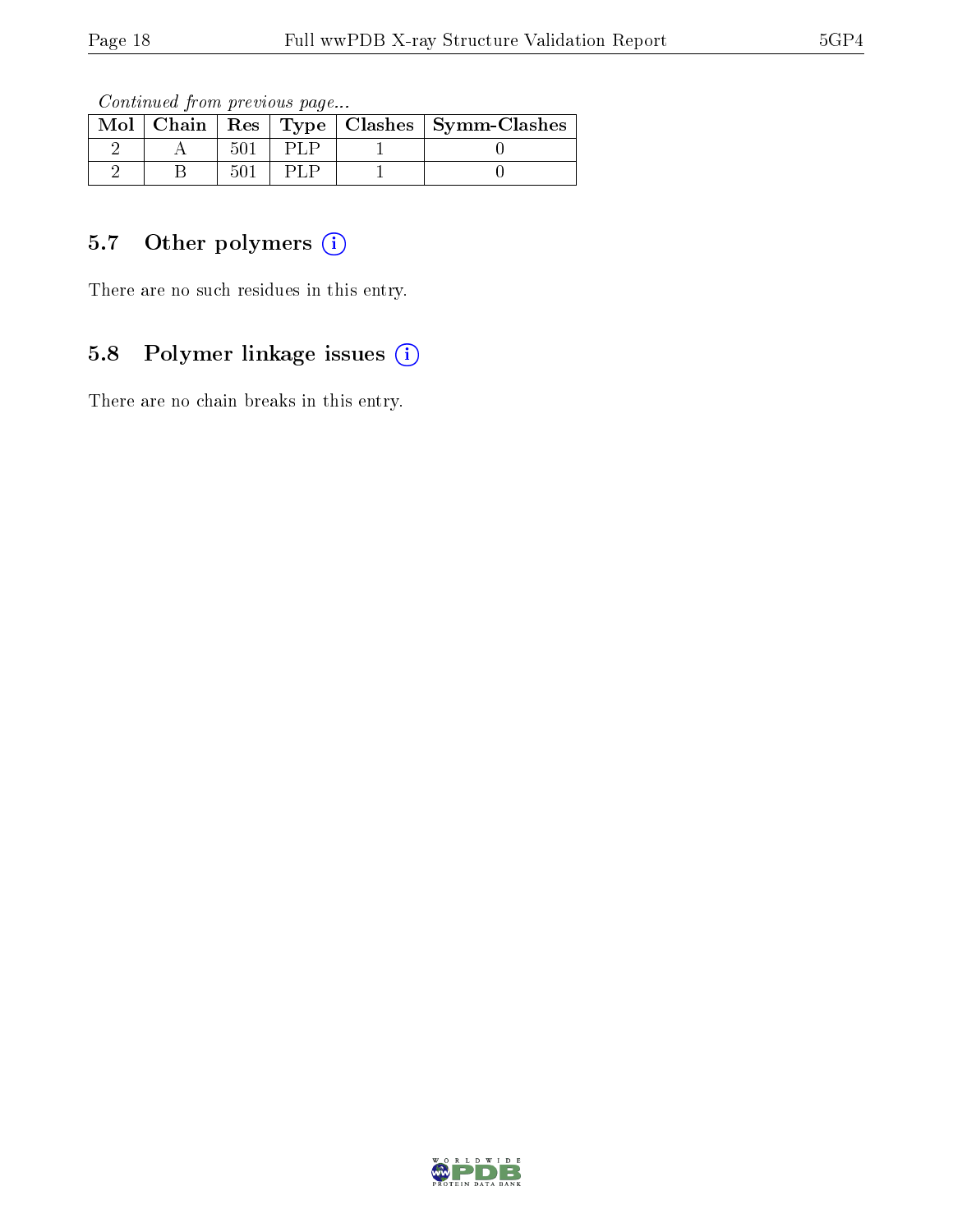Continued from previous page...

|  |  | Mol   Chain   Res   Type   Clashes   Symm-Clashes |
|--|--|---------------------------------------------------|
|  |  |                                                   |
|  |  |                                                   |

## 5.7 [O](https://www.wwpdb.org/validation/2017/XrayValidationReportHelp#nonstandard_residues_and_ligands)ther polymers (i)

There are no such residues in this entry.

## 5.8 Polymer linkage issues (i)

There are no chain breaks in this entry.

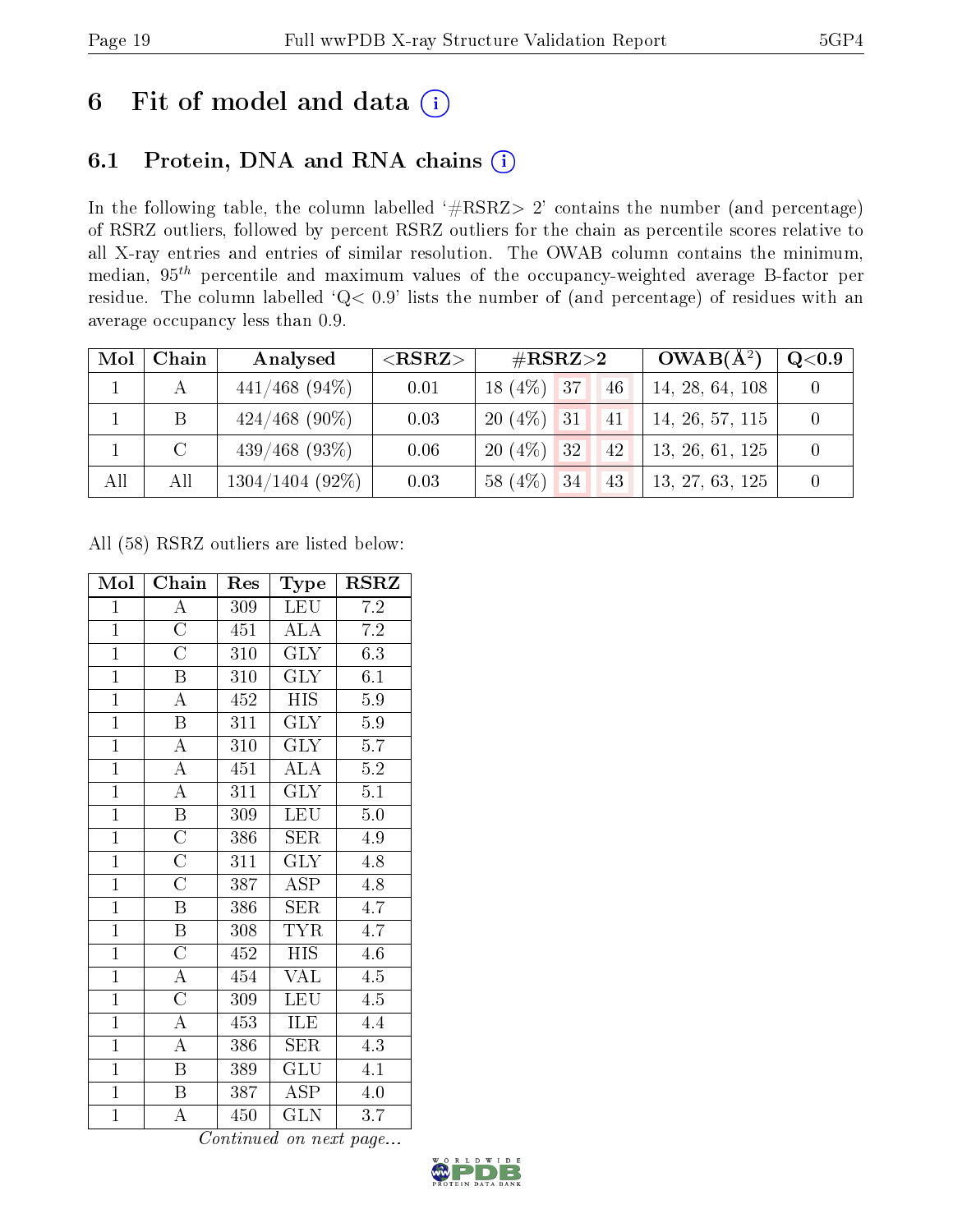# 6 Fit of model and data  $(i)$

## 6.1 Protein, DNA and RNA chains  $(i)$

In the following table, the column labelled  $#RSRZ> 2'$  contains the number (and percentage) of RSRZ outliers, followed by percent RSRZ outliers for the chain as percentile scores relative to all X-ray entries and entries of similar resolution. The OWAB column contains the minimum, median,  $95<sup>th</sup>$  percentile and maximum values of the occupancy-weighted average B-factor per residue. The column labelled ' $Q< 0.9$ ' lists the number of (and percentage) of residues with an average occupancy less than 0.9.

| Mol | Chain         | Analysed          | ${ <\hspace{-1.5pt}{\mathrm{RSRZ}} \hspace{-1.5pt}>}$ | $\rm \#RSRZ{>}2$   | $OWAB(A^2)$     | Q <sub>0.9</sub> |
|-----|---------------|-------------------|-------------------------------------------------------|--------------------|-----------------|------------------|
|     | А             | $441/468$ (94\%)  | 0.01                                                  | $18(4\%)$ 37<br>46 | 14, 28, 64, 108 |                  |
|     | B             | $424/468$ (90%)   | 0.03                                                  | $20(4\%)$ 31<br>41 | 14, 26, 57, 115 |                  |
|     | $\mathcal{C}$ | $439/468$ (93\%)  | 0.06                                                  | $20(4\%)$ 32<br>42 | 13, 26, 61, 125 |                  |
| All | All           | $1304/1404$ (92%) | 0.03                                                  | $58(4\%)$ 34<br>43 | 13, 27, 63, 125 |                  |

All (58) RSRZ outliers are listed below:

| Mol            | Chain                   | Res              | Type                    | RSRZ             |
|----------------|-------------------------|------------------|-------------------------|------------------|
| $\mathbf{1}$   | $\boldsymbol{A}$        | 309              | <b>LEU</b>              | 7.2              |
| $\overline{1}$ | $\overline{\rm C}$      | $\overline{451}$ | <b>ALA</b>              | 7.2              |
| $\overline{1}$ | $\overline{\text{C}}$   | 310              | <b>GLY</b>              | 6.3              |
| $\overline{1}$ | $\overline{\mathrm{B}}$ | $\overline{310}$ | $\overline{\text{GLY}}$ | $\overline{6.1}$ |
| $\mathbf{1}$   | $\overline{\rm A}$      | 452              | <b>HIS</b>              | $5.9\,$          |
| $\overline{1}$ | $\overline{\mathrm{B}}$ | $\overline{311}$ | $\overline{\text{GLY}}$ | $5.9\,$          |
| $\overline{1}$ | $\overline{\rm A}$      | 310              | <b>GLY</b>              | 5.7              |
| $\overline{1}$ | $\overline{\rm A}$      | 451              | ALA                     | $\overline{5.2}$ |
| $\overline{1}$ | $\overline{\rm A}$      | 311              | $\overline{\text{GLY}}$ | $\overline{5.1}$ |
| $\overline{1}$ | B                       | 309              | LEU                     | $5.0\,$          |
| $\overline{1}$ | $\overline{\rm C}$      | 386              | $\overline{\text{SER}}$ | 4.9              |
| $\mathbf{1}$   | $\overline{\rm C}$      | 311              | <b>GLY</b>              | 4.8              |
| $\overline{1}$ | $\overline{\rm C}$      | 387              | $\overline{\text{ASP}}$ | 4.8              |
| $\overline{1}$ | $\overline{\mathrm{B}}$ | 386              | <b>SER</b>              | 4.7              |
| $\overline{1}$ | $\overline{\mathrm{B}}$ | 308              | <b>TYR</b>              | 4.7              |
| $\overline{1}$ | $\overline{\rm C}$      | 452              | <b>HIS</b>              | 4.6              |
| $\overline{1}$ | $\overline{\rm A}$      | 454              | $\overline{\text{VAL}}$ | 4.5              |
| $\overline{1}$ | $\overline{\rm C}$      | 309              | $\overline{\text{LEU}}$ | $\overline{4.5}$ |
| $\overline{1}$ | $\overline{\rm A}$      | 453              | ILE                     | 4.4              |
| $\mathbf{1}$   | $\overline{\rm A}$      | 386              | <b>SER</b>              | 4.3              |
| $\overline{1}$ | $\overline{\mathrm{B}}$ | 389              | GLU                     | 4.1              |
| $\overline{1}$ | B                       | 387              | <b>ASP</b>              | $4.0\,$          |
| $\overline{1}$ | A                       | 450              | $\rm GLN$               | 3.7              |

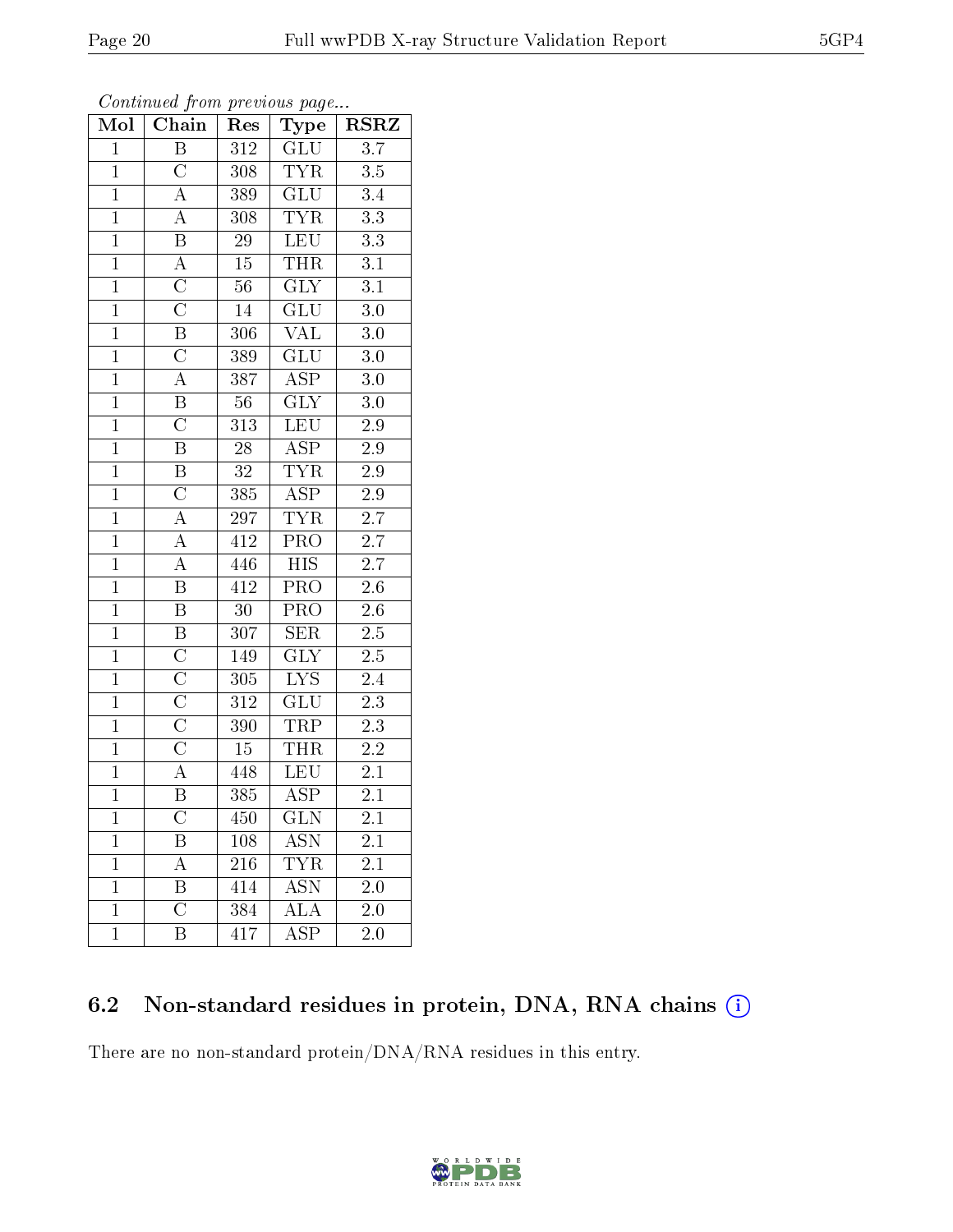| Mol            | ${\bf Chain}$           | Res              | Type                    | $\rm RSRZ$       |
|----------------|-------------------------|------------------|-------------------------|------------------|
| $\mathbf{1}$   | $\overline{B}$          | 312              | $\overline{GLU}$        | $\overline{3.7}$ |
| $\mathbf{1}$   | $\overline{\rm C}$      | 308              | <b>TYR</b>              | $3.5\,$          |
| $\overline{1}$ | $\overline{A}$          | 389              | $\overline{\text{GLU}}$ | $\overline{3.4}$ |
| $\overline{1}$ | $\overline{\rm A}$      | 308              | <b>TYR</b>              | $\overline{3.3}$ |
| $\overline{1}$ | $\overline{\mathrm{B}}$ | $\overline{29}$  | LEU                     | $\overline{3.3}$ |
| $\overline{1}$ | $\overline{A}$          | $15\,$           | <b>THR</b>              | 3.1              |
| $\overline{1}$ | $\overline{\rm C}$      | $\overline{56}$  | $\overline{\text{GLY}}$ | $\overline{3.1}$ |
| $\overline{1}$ | $\overline{C}$          | $14\,$           | GLU                     | $3.0\,$          |
| $\overline{1}$ | $\overline{\mathrm{B}}$ | 306              | $\overline{\text{VAL}}$ | $3.0\,$          |
| $\overline{1}$ | $\overline{C}$          | 389              | GLU                     | 3.0              |
| $\mathbf{1}$   | $\mathbf{A}$            | 387              | <b>ASP</b>              | 3.0              |
| $\overline{1}$ | $\overline{\mathrm{B}}$ | $56\,$           | $\overline{\text{GLY}}$ | $3.0\,$          |
| $\mathbf{1}$   | $\overline{\rm C}$      | 313              | LEU                     | $2.9\,$          |
| $\overline{1}$ | $\overline{\mathrm{B}}$ | 28               | $\overline{\text{ASP}}$ | 2.9              |
| $\overline{1}$ | $\overline{\mathrm{B}}$ | $\overline{32}$  | <b>TYR</b>              | $\overline{2.9}$ |
| $\mathbf{1}$   | $\overline{C}$          | 385              | $\overline{\text{ASP}}$ | $2.9\,$          |
| $\mathbf{1}$   | $\overline{A}$          | $297\,$          | <b>TYR</b>              | 2.7              |
| $\overline{1}$ | $\overline{A}$          | 412              | <b>PRO</b>              | 2.7              |
| $\overline{1}$ | $\overline{A}$          | 446              | $\overline{HIS}$        | 2.7              |
| $\overline{1}$ | $\overline{\mathrm{B}}$ | $41\overline{2}$ | $\overline{\text{PRO}}$ | $\overline{2.6}$ |
| $\mathbf{1}$   | $\, {\bf B}$            | $30\,$           | $\overline{\text{PRO}}$ | $2.6\,$          |
| $\overline{1}$ | $\overline{\mathrm{B}}$ | $\overline{307}$ | $\overline{\text{SER}}$ | $\overline{2.5}$ |
| $\overline{1}$ | $\overline{\rm C}$      | 149              | <b>GLY</b>              | 2.5              |
| $\overline{1}$ | $\overline{\rm C}$      | 305              | $\overline{\text{LYS}}$ | $\overline{2.4}$ |
| $\overline{1}$ | $\overline{\rm C}$      | 312              | GLU                     | $\overline{2.3}$ |
| $\overline{1}$ | $\overline{\text{C}}$   | 390              | <b>TRP</b>              | $2.3\,$          |
| $\overline{1}$ | $\overline{\rm C}$      | $15\,$           | <b>THR</b>              | 2.2              |
| $\overline{1}$ | $\overline{A}$          | 448              | $\overline{\text{LEU}}$ | 2.1              |
| $\overline{1}$ | $\overline{\mathrm{B}}$ | 385              | $\overline{\rm ASP}$    | 2.1              |
| 1              | $\overline{\rm C}$      | 450              | $_{\rm GLN}$            | 2.1              |
| $\mathbf 1$    | Β                       | 108              | $AS\overline{N}$        | $2.1\,$          |
| $\mathbf 1$    | A                       | 216              | TYR                     | 2.1              |
| $\mathbf{1}$   | B                       | 414              | <b>ASN</b>              | $2.0\,$          |
| $\mathbf{1}$   | $\overline{\rm C}$      | 384              | ${\rm ALA}$             | $2.0\,$          |
| $\mathbf 1$    | Β                       | 417              | ASP                     | 2.0              |

| Continued from previous page |  |  |
|------------------------------|--|--|
|                              |  |  |

## 6.2 Non-standard residues in protein, DNA, RNA chains (i)

There are no non-standard protein/DNA/RNA residues in this entry.